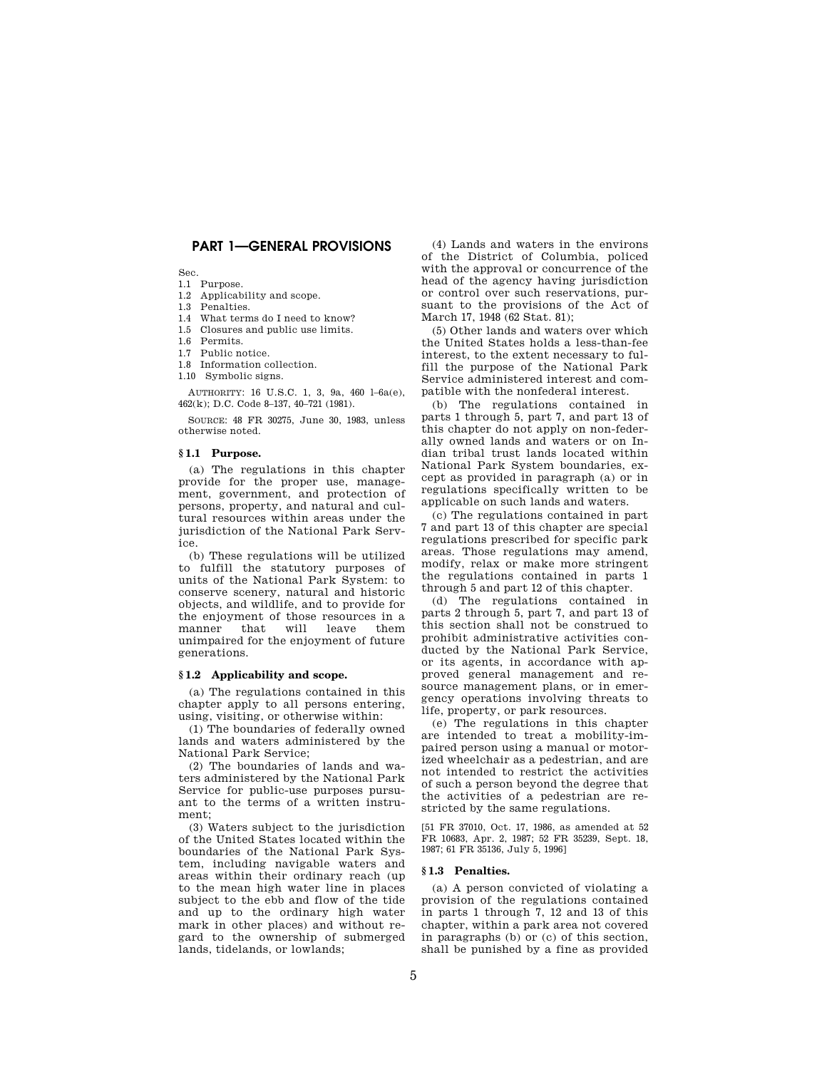## **PART 1—GENERAL PROVISIONS**

Sec.

1.1 Purpose.

1.2 Applicability and scope.

1.3 Penalties. 1.4 What terms do I need to know?

1.5 Closures and public use limits.

1.6 Permits.

1.7 Public notice.

1.8 Information collection.

1.10 Symbolic signs.

AUTHORITY: 16 U.S.C. 1, 3, 9a, 460 l–6a(e), 462(k); D.C. Code 8–137, 40–721 (1981).

SOURCE: 48 FR 30275, June 30, 1983, unless otherwise noted.

## **§ 1.1 Purpose.**

(a) The regulations in this chapter provide for the proper use, management, government, and protection of persons, property, and natural and cultural resources within areas under the jurisdiction of the National Park Service.

(b) These regulations will be utilized to fulfill the statutory purposes of units of the National Park System: to conserve scenery, natural and historic objects, and wildlife, and to provide for the enjoyment of those resources in a manner that will leave them unimpaired for the enjoyment of future generations.

## **§ 1.2 Applicability and scope.**

(a) The regulations contained in this chapter apply to all persons entering, using, visiting, or otherwise within:

(1) The boundaries of federally owned lands and waters administered by the National Park Service;

(2) The boundaries of lands and waters administered by the National Park Service for public-use purposes pursuant to the terms of a written instrument;

(3) Waters subject to the jurisdiction of the United States located within the boundaries of the National Park System, including navigable waters and areas within their ordinary reach (up to the mean high water line in places subject to the ebb and flow of the tide and up to the ordinary high water mark in other places) and without regard to the ownership of submerged lands, tidelands, or lowlands;

(4) Lands and waters in the environs of the District of Columbia, policed with the approval or concurrence of the head of the agency having jurisdiction or control over such reservations, pursuant to the provisions of the Act of March 17, 1948 (62 Stat. 81);

(5) Other lands and waters over which the United States holds a less-than-fee interest, to the extent necessary to fulfill the purpose of the National Park Service administered interest and compatible with the nonfederal interest.

(b) The regulations contained in parts 1 through 5, part 7, and part 13 of this chapter do not apply on non-federally owned lands and waters or on Indian tribal trust lands located within National Park System boundaries, except as provided in paragraph (a) or in regulations specifically written to be applicable on such lands and waters.

(c) The regulations contained in part 7 and part 13 of this chapter are special regulations prescribed for specific park areas. Those regulations may amend, modify, relax or make more stringent the regulations contained in parts 1 through 5 and part 12 of this chapter.

(d) The regulations contained in parts 2 through 5, part 7, and part 13 of this section shall not be construed to prohibit administrative activities conducted by the National Park Service, or its agents, in accordance with approved general management and resource management plans, or in emergency operations involving threats to life, property, or park resources.

(e) The regulations in this chapter are intended to treat a mobility-impaired person using a manual or motorized wheelchair as a pedestrian, and are not intended to restrict the activities of such a person beyond the degree that the activities of a pedestrian are restricted by the same regulations.

[51 FR 37010, Oct. 17, 1986, as amended at 52 FR 10683, Apr. 2, 1987; 52 FR 35239, Sept. 18, 1987; 61 FR 35136, July 5, 1996]

#### **§ 1.3 Penalties.**

(a) A person convicted of violating a provision of the regulations contained in parts 1 through 7, 12 and 13 of this chapter, within a park area not covered in paragraphs (b) or (c) of this section, shall be punished by a fine as provided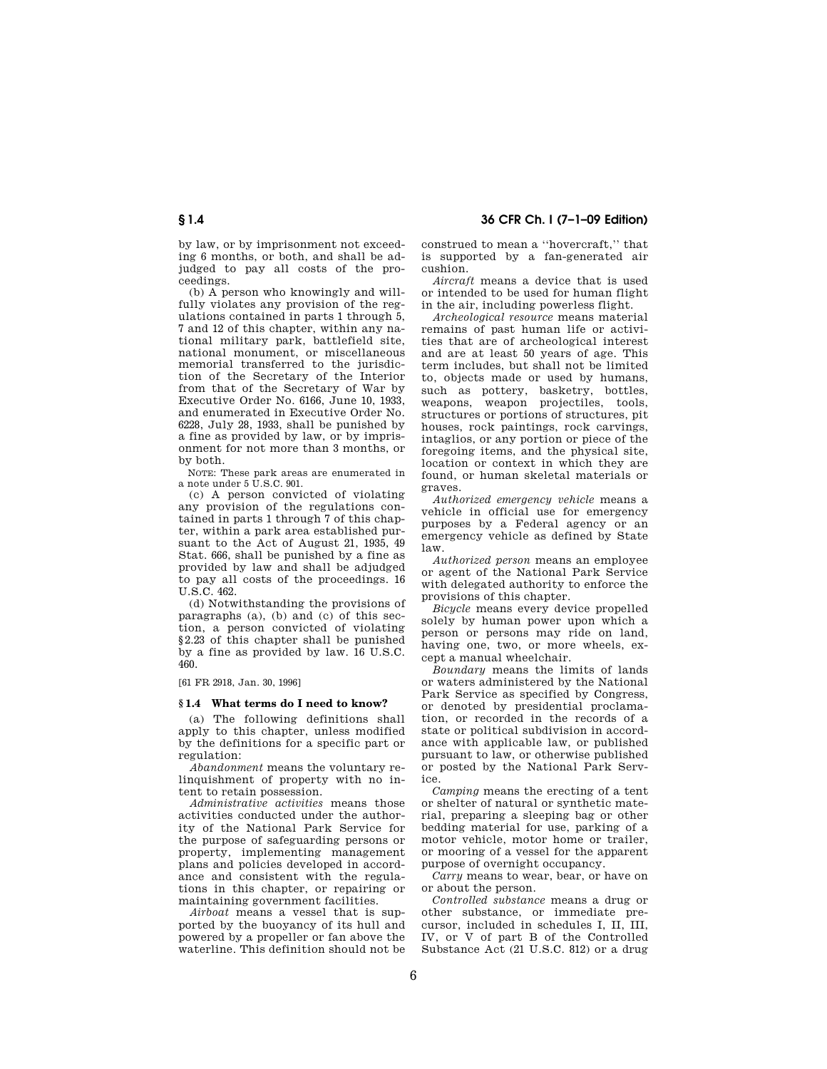by law, or by imprisonment not exceeding 6 months, or both, and shall be adjudged to pay all costs of the proceedings.

(b) A person who knowingly and willfully violates any provision of the regulations contained in parts 1 through 5, 7 and 12 of this chapter, within any national military park, battlefield site, national monument, or miscellaneous memorial transferred to the jurisdiction of the Secretary of the Interior from that of the Secretary of War by Executive Order No. 6166, June 10, 1933, and enumerated in Executive Order No. 6228, July 28, 1933, shall be punished by a fine as provided by law, or by imprisonment for not more than 3 months, or by both.

NOTE: These park areas are enumerated in a note under 5 U.S.C. 901.

(c) A person convicted of violating any provision of the regulations contained in parts 1 through 7 of this chapter, within a park area established pursuant to the Act of August 21, 1935, 49 Stat. 666, shall be punished by a fine as provided by law and shall be adjudged to pay all costs of the proceedings. 16 U.S.C. 462.

(d) Notwithstanding the provisions of paragraphs (a), (b) and (c) of this section, a person convicted of violating §2.23 of this chapter shall be punished by a fine as provided by law. 16 U.S.C. 460.

[61 FR 2918, Jan. 30, 1996]

## **§ 1.4 What terms do I need to know?**

(a) The following definitions shall apply to this chapter, unless modified by the definitions for a specific part or regulation:

*Abandonment* means the voluntary relinquishment of property with no intent to retain possession.

*Administrative activities* means those activities conducted under the authority of the National Park Service for the purpose of safeguarding persons or property, implementing management plans and policies developed in accordance and consistent with the regulations in this chapter, or repairing or maintaining government facilities.

*Airboat* means a vessel that is supported by the buoyancy of its hull and powered by a propeller or fan above the waterline. This definition should not be

construed to mean a ''hovercraft,'' that is supported by a fan-generated air cushion.

*Aircraft* means a device that is used or intended to be used for human flight in the air, including powerless flight.

*Archeological resource* means material remains of past human life or activities that are of archeological interest and are at least 50 years of age. This term includes, but shall not be limited to, objects made or used by humans, such as pottery, basketry, bottles, weapons, weapon projectiles, tools, structures or portions of structures, pit houses, rock paintings, rock carvings, intaglios, or any portion or piece of the foregoing items, and the physical site, location or context in which they are found, or human skeletal materials or graves.

*Authorized emergency vehicle* means a vehicle in official use for emergency purposes by a Federal agency or an emergency vehicle as defined by State law.

*Authorized person* means an employee or agent of the National Park Service with delegated authority to enforce the provisions of this chapter.

*Bicycle* means every device propelled solely by human power upon which a person or persons may ride on land, having one, two, or more wheels, except a manual wheelchair.

*Boundary* means the limits of lands or waters administered by the National Park Service as specified by Congress, or denoted by presidential proclamation, or recorded in the records of a state or political subdivision in accordance with applicable law, or published pursuant to law, or otherwise published or posted by the National Park Service.

*Camping* means the erecting of a tent or shelter of natural or synthetic material, preparing a sleeping bag or other bedding material for use, parking of a motor vehicle, motor home or trailer, or mooring of a vessel for the apparent purpose of overnight occupancy.

*Carry* means to wear, bear, or have on or about the person.

*Controlled substance* means a drug or other substance, or immediate precursor, included in schedules I, II, III, IV, or V of part B of the Controlled Substance Act (21 U.S.C. 812) or a drug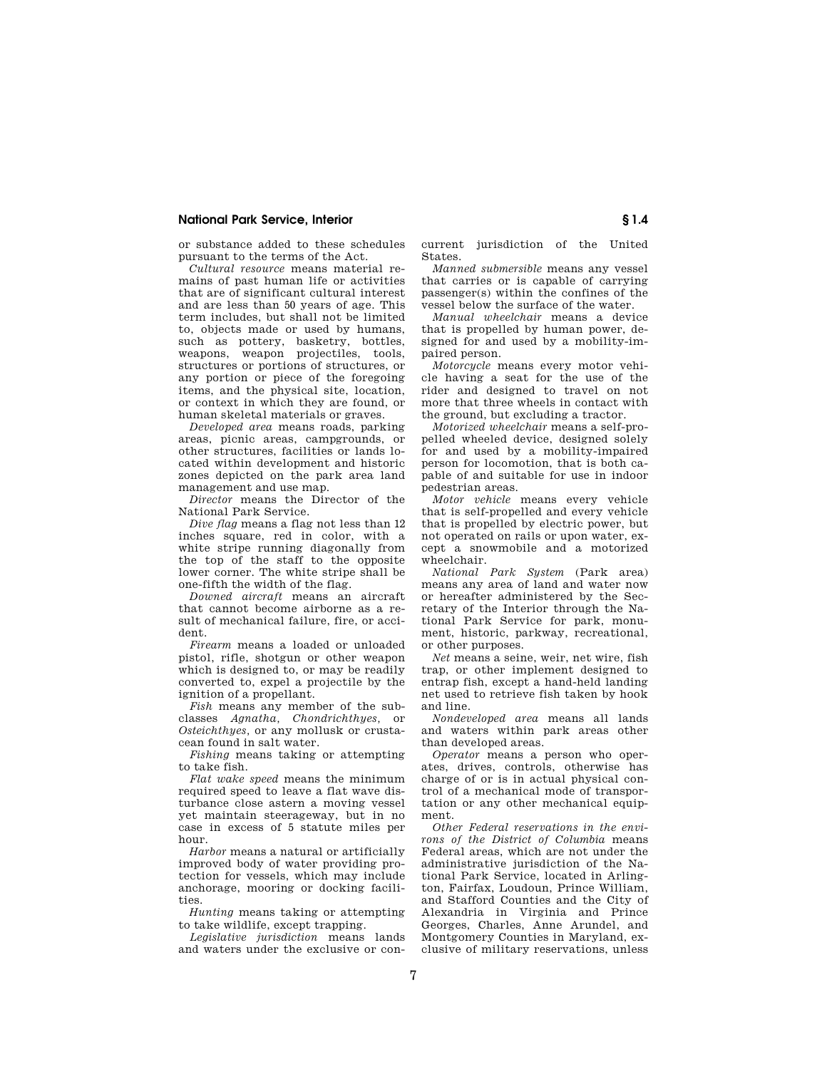or substance added to these schedules pursuant to the terms of the Act.

*Cultural resource* means material remains of past human life or activities that are of significant cultural interest and are less than 50 years of age. This term includes, but shall not be limited to, objects made or used by humans, such as pottery, basketry, bottles, weapons, weapon projectiles, tools, structures or portions of structures, or any portion or piece of the foregoing items, and the physical site, location, or context in which they are found, or human skeletal materials or graves.

*Developed area* means roads, parking areas, picnic areas, campgrounds, or other structures, facilities or lands located within development and historic zones depicted on the park area land management and use map.

*Director* means the Director of the National Park Service.

*Dive flag* means a flag not less than 12 inches square, red in color, with a white stripe running diagonally from the top of the staff to the opposite lower corner. The white stripe shall be one-fifth the width of the flag.

*Downed aircraft* means an aircraft that cannot become airborne as a result of mechanical failure, fire, or accident.

*Firearm* means a loaded or unloaded pistol, rifle, shotgun or other weapon which is designed to, or may be readily converted to, expel a projectile by the ignition of a propellant.

*Fish* means any member of the subclasses *Agnatha, Chondrichthyes,* or *Osteichthyes,* or any mollusk or crustacean found in salt water.

*Fishing* means taking or attempting to take fish.

*Flat wake speed* means the minimum required speed to leave a flat wave disturbance close astern a moving vessel yet maintain steerageway, but in no case in excess of 5 statute miles per hour.

*Harbor* means a natural or artificially improved body of water providing protection for vessels, which may include anchorage, mooring or docking facilities.

*Hunting* means taking or attempting to take wildlife, except trapping.

*Legislative jurisdiction* means lands and waters under the exclusive or concurrent jurisdiction of the United States.

*Manned submersible* means any vessel that carries or is capable of carrying passenger(s) within the confines of the vessel below the surface of the water.

*Manual wheelchair* means a device that is propelled by human power, designed for and used by a mobility-impaired person.

*Motorcycle* means every motor vehicle having a seat for the use of the rider and designed to travel on not more that three wheels in contact with the ground, but excluding a tractor.

*Motorized wheelchair* means a self-propelled wheeled device, designed solely for and used by a mobility-impaired person for locomotion, that is both capable of and suitable for use in indoor pedestrian areas.

*Motor vehicle* means every vehicle that is self-propelled and every vehicle that is propelled by electric power, but not operated on rails or upon water, except a snowmobile and a motorized wheelchair.

*National Park System* (Park area) means any area of land and water now or hereafter administered by the Secretary of the Interior through the National Park Service for park, monument, historic, parkway, recreational, or other purposes.

*Net* means a seine, weir, net wire, fish trap, or other implement designed to entrap fish, except a hand-held landing net used to retrieve fish taken by hook and line.

*Nondeveloped area* means all lands and waters within park areas other than developed areas.

*Operator* means a person who operates, drives, controls, otherwise has charge of or is in actual physical control of a mechanical mode of transportation or any other mechanical equipment.

*Other Federal reservations in the environs of the District of Columbia* means Federal areas, which are not under the administrative jurisdiction of the National Park Service, located in Arlington, Fairfax, Loudoun, Prince William, and Stafford Counties and the City of Alexandria in Virginia and Prince Georges, Charles, Anne Arundel, and Montgomery Counties in Maryland, exclusive of military reservations, unless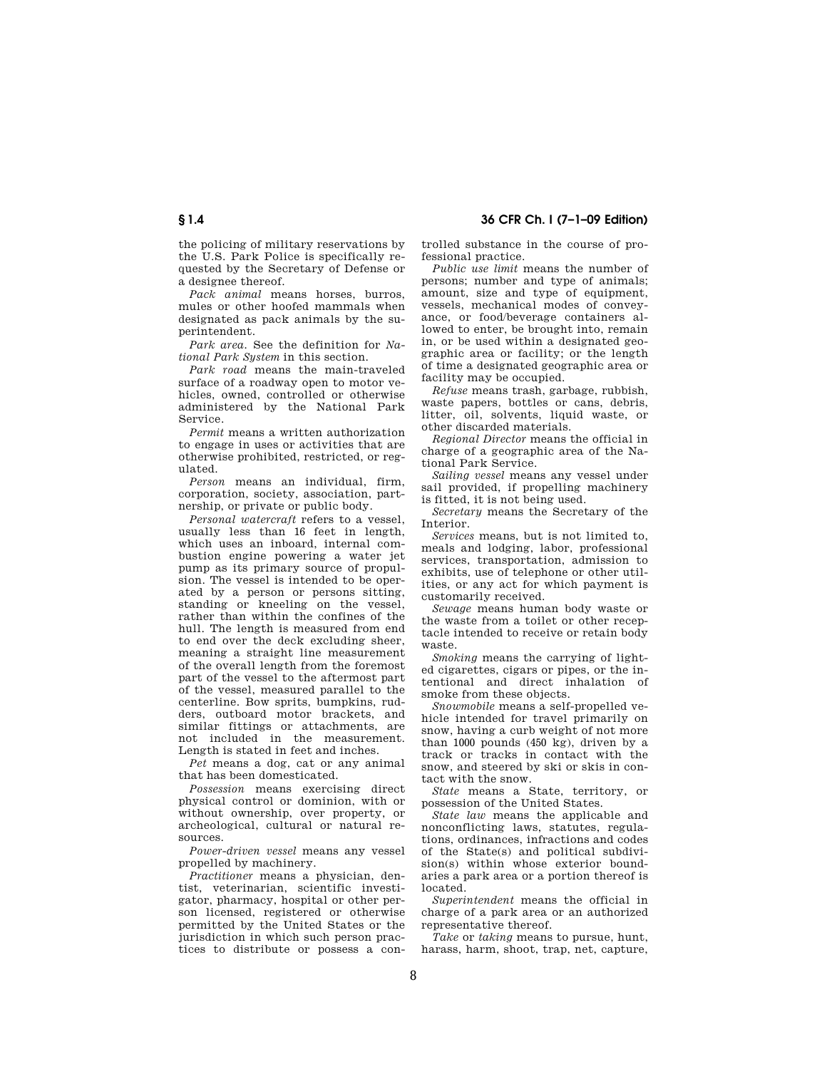the policing of military reservations by the U.S. Park Police is specifically requested by the Secretary of Defense or a designee thereof.

*Pack animal* means horses, burros, mules or other hoofed mammals when designated as pack animals by the superintendent.

*Park area.* See the definition for *National Park System* in this section.

*Park road* means the main-traveled surface of a roadway open to motor vehicles, owned, controlled or otherwise administered by the National Park Service.

*Permit* means a written authorization to engage in uses or activities that are otherwise prohibited, restricted, or regulated.

*Person* means an individual, firm, corporation, society, association, partnership, or private or public body.

*Personal watercraft* refers to a vessel, usually less than 16 feet in length, which uses an inboard, internal combustion engine powering a water jet pump as its primary source of propulsion. The vessel is intended to be operated by a person or persons sitting, standing or kneeling on the vessel, rather than within the confines of the hull. The length is measured from end to end over the deck excluding sheer, meaning a straight line measurement of the overall length from the foremost part of the vessel to the aftermost part of the vessel, measured parallel to the centerline. Bow sprits, bumpkins, rudders, outboard motor brackets, and similar fittings or attachments, are not included in the measurement. Length is stated in feet and inches.

*Pet* means a dog, cat or any animal that has been domesticated.

*Possession* means exercising direct physical control or dominion, with or without ownership, over property, or archeological, cultural or natural resources.

*Power-driven vessel* means any vessel propelled by machinery.

*Practitioner* means a physician, dentist, veterinarian, scientific investigator, pharmacy, hospital or other person licensed, registered or otherwise permitted by the United States or the jurisdiction in which such person practices to distribute or possess a controlled substance in the course of professional practice.

*Public use limit* means the number of persons; number and type of animals; amount, size and type of equipment. vessels, mechanical modes of conveyance, or food/beverage containers allowed to enter, be brought into, remain in, or be used within a designated geographic area or facility; or the length of time a designated geographic area or facility may be occupied.

*Refuse* means trash, garbage, rubbish, waste papers, bottles or cans, debris, litter, oil, solvents, liquid waste, or other discarded materials.

*Regional Director* means the official in charge of a geographic area of the National Park Service.

*Sailing vessel* means any vessel under sail provided, if propelling machinery is fitted, it is not being used.

*Secretary* means the Secretary of the Interior.

*Services* means, but is not limited to, meals and lodging, labor, professional services, transportation, admission to exhibits, use of telephone or other utilities, or any act for which payment is customarily received.

*Sewage* means human body waste or the waste from a toilet or other receptacle intended to receive or retain body waste.

*Smoking* means the carrying of lighted cigarettes, cigars or pipes, or the intentional and direct inhalation of smoke from these objects.

*Snowmobile* means a self-propelled vehicle intended for travel primarily on snow, having a curb weight of not more than 1000 pounds (450 kg), driven by a track or tracks in contact with the snow, and steered by ski or skis in contact with the snow.

*State* means a State, territory, or possession of the United States.

*State law* means the applicable and nonconflicting laws, statutes, regulations, ordinances, infractions and codes of the State(s) and political subdivision(s) within whose exterior boundaries a park area or a portion thereof is located.

*Superintendent* means the official in charge of a park area or an authorized representative thereof

*Take* or *taking* means to pursue, hunt, harass, harm, shoot, trap, net, capture,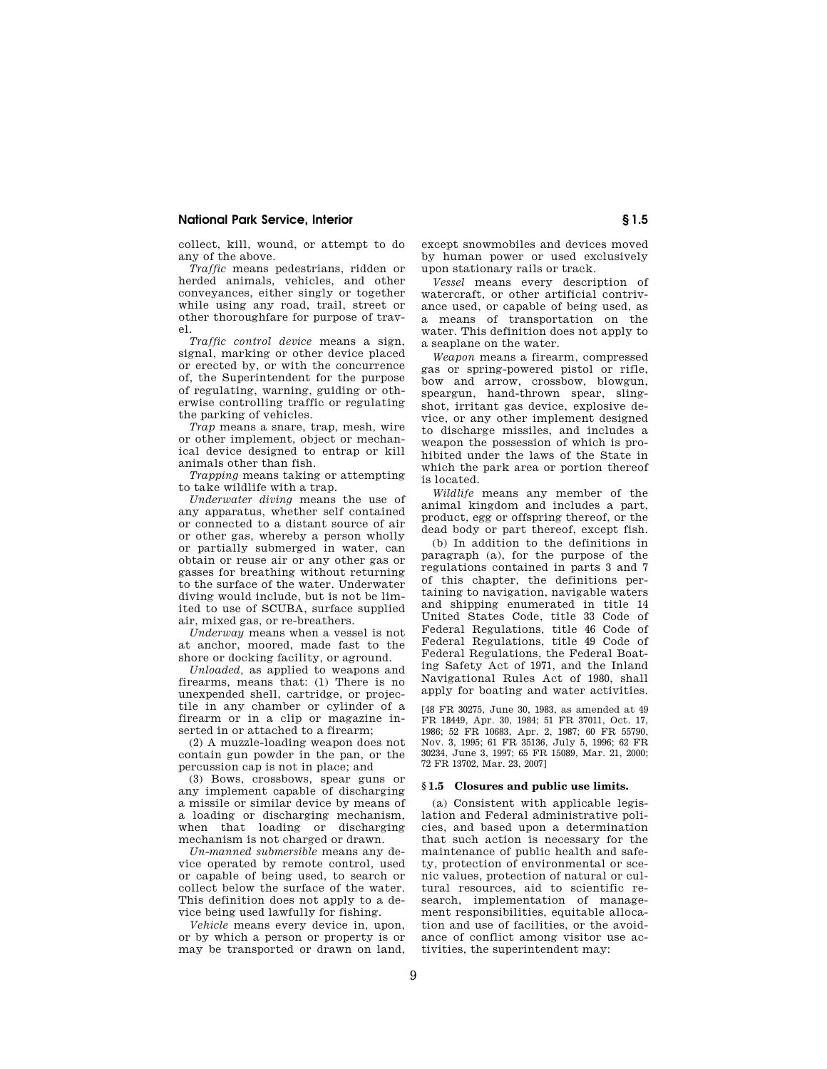collect, kill, wound, or attempt to do any of the above.

*Traffic* means pedestrians, ridden or herded animals, vehicles, and other conveyances, either singly or together while using any road, trail, street or other thoroughfare for purpose of travel.

*Traffic control device* means a sign, signal, marking or other device placed or erected by, or with the concurrence of, the Superintendent for the purpose of regulating, warning, guiding or otherwise controlling traffic or regulating the parking of vehicles.

*Trap* means a snare, trap, mesh, wire or other implement, object or mechanical device designed to entrap or kill animals other than fish.

*Trapping* means taking or attempting to take wildlife with a trap.

*Underwater diving* means the use of any apparatus, whether self contained or connected to a distant source of air or other gas, whereby a person wholly or partially submerged in water, can obtain or reuse air or any other gas or gasses for breathing without returning to the surface of the water. Underwater diving would include, but is not be limited to use of SCUBA, surface supplied air, mixed gas, or re-breathers.

*Underway* means when a vessel is not at anchor, moored, made fast to the shore or docking facility, or aground.

*Unloaded,* as applied to weapons and firearms, means that: (1) There is no unexpended shell, cartridge, or projectile in any chamber or cylinder of a firearm or in a clip or magazine inserted in or attached to a firearm;

(2) A muzzle-loading weapon does not contain gun powder in the pan, or the percussion cap is not in place; and

(3) Bows, crossbows, spear guns or any implement capable of discharging a missile or similar device by means of a loading or discharging mechanism, when that loading or discharging mechanism is not charged or drawn.

*Un-manned submersible* means any device operated by remote control, used or capable of being used, to search or collect below the surface of the water. This definition does not apply to a device being used lawfully for fishing.

*Vehicle* means every device in, upon, or by which a person or property is or may be transported or drawn on land, except snowmobiles and devices moved by human power or used exclusively upon stationary rails or track.

*Vessel* means every description of watercraft, or other artificial contrivance used, or capable of being used, as a means of transportation on the water. This definition does not apply to a seaplane on the water.

*Weapon* means a firearm, compressed gas or spring-powered pistol or rifle, bow and arrow, crossbow, blowgun, speargun, hand-thrown spear, slingshot, irritant gas device, explosive device, or any other implement designed to discharge missiles, and includes a weapon the possession of which is prohibited under the laws of the State in which the park area or portion thereof is located.

*Wildlife* means any member of the animal kingdom and includes a part, product, egg or offspring thereof, or the dead body or part thereof, except fish.

(b) In addition to the definitions in paragraph (a), for the purpose of the regulations contained in parts 3 and 7 of this chapter, the definitions pertaining to navigation, navigable waters and shipping enumerated in title 14 United States Code, title 33 Code of Federal Regulations, title 46 Code of Federal Regulations, title 49 Code of Federal Regulations, the Federal Boating Safety Act of 1971, and the Inland Navigational Rules Act of 1980, shall apply for boating and water activities.

[48 FR 30275, June 30, 1983, as amended at 49 FR 18449, Apr. 30, 1984; 51 FR 37011, Oct. 17, 1986; 52 FR 10683, Apr. 2, 1987; 60 FR 55790, Nov. 3, 1995; 61 FR 35136, July 5, 1996; 62 FR 30234, June 3, 1997; 65 FR 15089, Mar. 21, 2000; 72 FR 13702, Mar. 23, 2007]

## **§ 1.5 Closures and public use limits.**

(a) Consistent with applicable legislation and Federal administrative policies, and based upon a determination that such action is necessary for the maintenance of public health and safety, protection of environmental or scenic values, protection of natural or cultural resources, aid to scientific research, implementation of management responsibilities, equitable allocation and use of facilities, or the avoidance of conflict among visitor use activities, the superintendent may: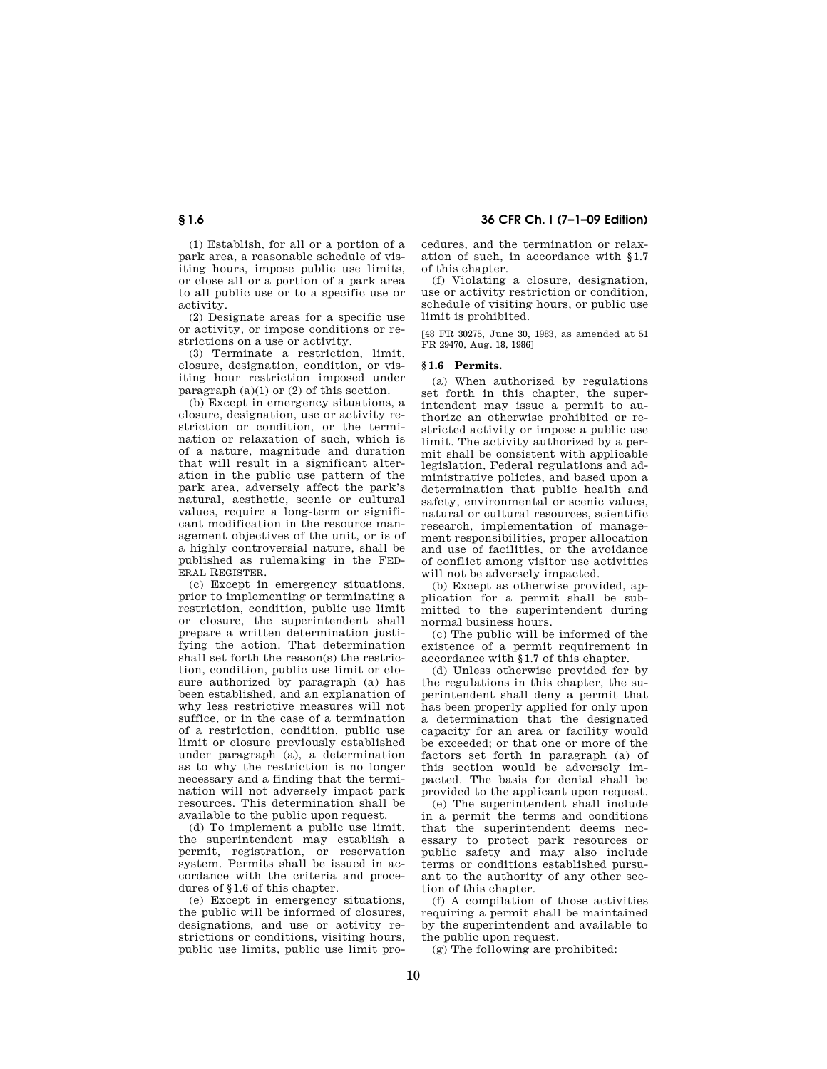(1) Establish, for all or a portion of a

park area, a reasonable schedule of visiting hours, impose public use limits, or close all or a portion of a park area to all public use or to a specific use or activity.

(2) Designate areas for a specific use or activity, or impose conditions or restrictions on a use or activity.

(3) Terminate a restriction, limit, closure, designation, condition, or visiting hour restriction imposed under paragraph (a)(1) or (2) of this section.

(b) Except in emergency situations, a closure, designation, use or activity restriction or condition, or the termination or relaxation of such, which is of a nature, magnitude and duration that will result in a significant alteration in the public use pattern of the park area, adversely affect the park's natural, aesthetic, scenic or cultural values, require a long-term or significant modification in the resource management objectives of the unit, or is of a highly controversial nature, shall be published as rulemaking in the FED-ERAL REGISTER.

(c) Except in emergency situations, prior to implementing or terminating a restriction, condition, public use limit or closure, the superintendent shall prepare a written determination justifying the action. That determination shall set forth the reason(s) the restriction, condition, public use limit or closure authorized by paragraph (a) has been established, and an explanation of why less restrictive measures will not suffice, or in the case of a termination of a restriction, condition, public use limit or closure previously established under paragraph (a), a determination as to why the restriction is no longer necessary and a finding that the termination will not adversely impact park resources. This determination shall be available to the public upon request.

(d) To implement a public use limit, the superintendent may establish a permit, registration, or reservation system. Permits shall be issued in accordance with the criteria and procedures of §1.6 of this chapter.

(e) Except in emergency situations, the public will be informed of closures, designations, and use or activity restrictions or conditions, visiting hours, public use limits, public use limit procedures, and the termination or relaxation of such, in accordance with §1.7 of this chapter.

(f) Violating a closure, designation, use or activity restriction or condition, schedule of visiting hours, or public use limit is prohibited.

[48 FR 30275, June 30, 1983, as amended at 51 FR 29470, Aug. 18, 1986]

#### **§ 1.6 Permits.**

(a) When authorized by regulations set forth in this chapter, the superintendent may issue a permit to authorize an otherwise prohibited or restricted activity or impose a public use limit. The activity authorized by a permit shall be consistent with applicable legislation, Federal regulations and administrative policies, and based upon a determination that public health and safety, environmental or scenic values, natural or cultural resources, scientific research, implementation of management responsibilities, proper allocation and use of facilities, or the avoidance of conflict among visitor use activities will not be adversely impacted.

(b) Except as otherwise provided, application for a permit shall be submitted to the superintendent during normal business hours.

(c) The public will be informed of the existence of a permit requirement in accordance with §1.7 of this chapter.

(d) Unless otherwise provided for by the regulations in this chapter, the superintendent shall deny a permit that has been properly applied for only upon a determination that the designated capacity for an area or facility would be exceeded; or that one or more of the factors set forth in paragraph (a) of this section would be adversely impacted. The basis for denial shall be provided to the applicant upon request.

(e) The superintendent shall include in a permit the terms and conditions that the superintendent deems necessary to protect park resources or public safety and may also include terms or conditions established pursuant to the authority of any other section of this chapter.

(f) A compilation of those activities requiring a permit shall be maintained by the superintendent and available to the public upon request.

(g) The following are prohibited: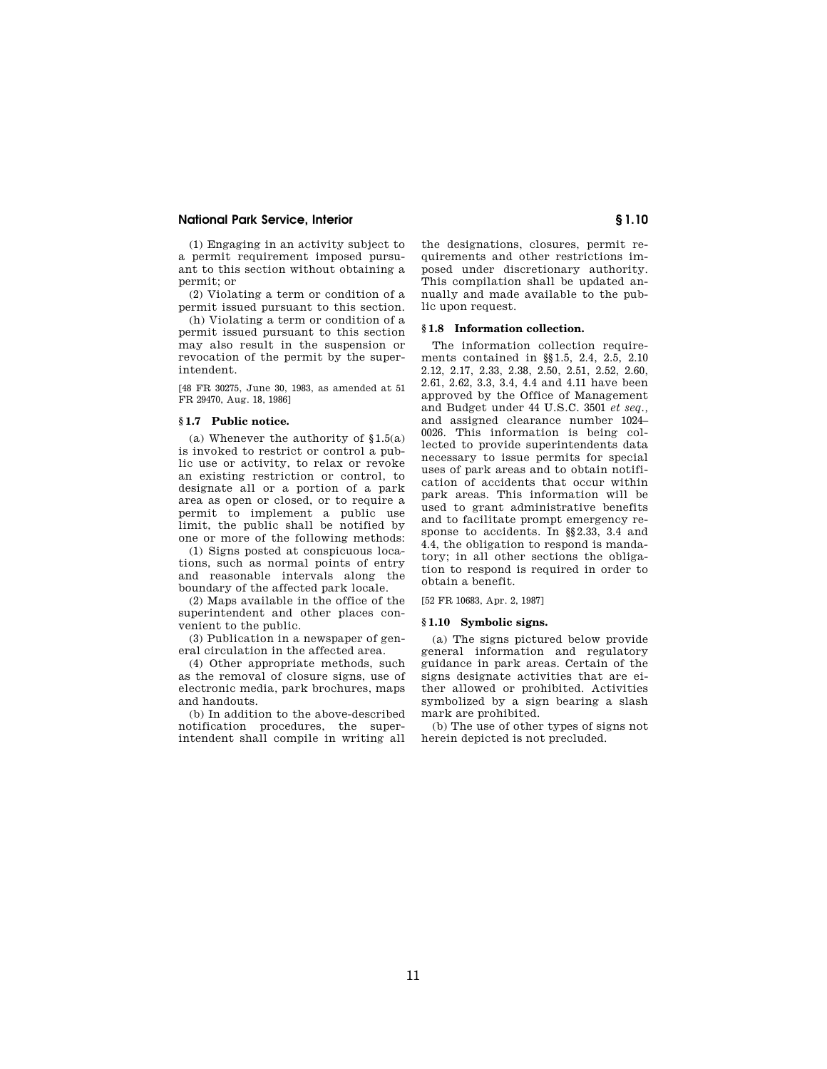(1) Engaging in an activity subject to a permit requirement imposed pursuant to this section without obtaining a permit; or

(2) Violating a term or condition of a permit issued pursuant to this section.

(h) Violating a term or condition of a permit issued pursuant to this section may also result in the suspension or revocation of the permit by the superintendent.

[48 FR 30275, June 30, 1983, as amended at 51 FR 29470, Aug. 18, 1986]

## **§ 1.7 Public notice.**

(a) Whenever the authority of §1.5(a) is invoked to restrict or control a public use or activity, to relax or revoke an existing restriction or control, to designate all or a portion of a park area as open or closed, or to require a permit to implement a public use limit, the public shall be notified by one or more of the following methods:

(1) Signs posted at conspicuous locations, such as normal points of entry and reasonable intervals along the boundary of the affected park locale.

(2) Maps available in the office of the superintendent and other places convenient to the public.

(3) Publication in a newspaper of general circulation in the affected area.

(4) Other appropriate methods, such as the removal of closure signs, use of electronic media, park brochures, maps and handouts.

(b) In addition to the above-described notification procedures, the superintendent shall compile in writing all the designations, closures, permit requirements and other restrictions imposed under discretionary authority. This compilation shall be updated annually and made available to the public upon request.

## **§ 1.8 Information collection.**

The information collection requirements contained in §§1.5, 2.4, 2.5, 2.10 2.12, 2.17, 2.33, 2.38, 2.50, 2.51, 2.52, 2.60, 2.61, 2.62, 3.3, 3.4, 4.4 and 4.11 have been approved by the Office of Management and Budget under 44 U.S.C. 3501 *et seq.,*  and assigned clearance number 1024– 0026. This information is being collected to provide superintendents data necessary to issue permits for special uses of park areas and to obtain notification of accidents that occur within park areas. This information will be used to grant administrative benefits and to facilitate prompt emergency response to accidents. In §§2.33, 3.4 and 4.4, the obligation to respond is mandatory; in all other sections the obligation to respond is required in order to obtain a benefit.

[52 FR 10683, Apr. 2, 1987]

## **§ 1.10 Symbolic signs.**

(a) The signs pictured below provide general information and regulatory guidance in park areas. Certain of the signs designate activities that are either allowed or prohibited. Activities symbolized by a sign bearing a slash mark are prohibited.

(b) The use of other types of signs not herein depicted is not precluded.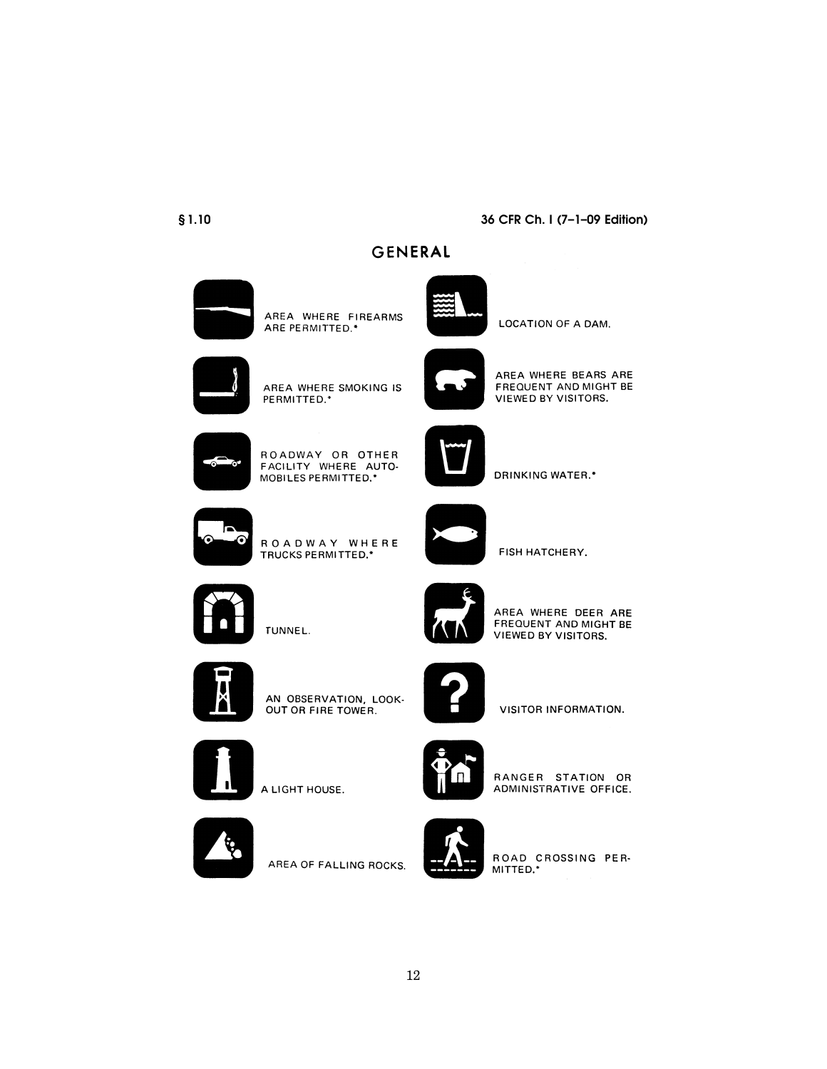## $$1.10$

## 36 CFR Ch. I (7-1-09 Edition)

GENERAL



AREA WHERE FIREARMS ARE PERMITTED.\*



LOCATION OF A DAM.



AREA WHERE SMOKING IS PERMITTED.\*



AREA WHERE BEARS ARE FREQUENT AND MIGHT BE VIEWED BY VISITORS.



ROADWAY OR OTHER FACILITY WHERE AUTO-MOBILES PERMITTED.\*



**DRINKING WATER.\*** 



ROADWAY WHERE TRUCKS PERMITTED.\*



FISH HATCHERY.



TUNNEL.



AREA WHERE DEER ARE FREQUENT AND MIGHT BE **VIEWED BY VISITORS.** 



AN OBSERVATION, LOOK-OUT OR FIRE TOWER.



VISITOR INFORMATION.



A LIGHT HOUSE.



RANGER STATION OR ADMINISTRATIVE OFFICE.



AREA OF FALLING ROCKS.



ROAD CROSSING PER-MITTED.\*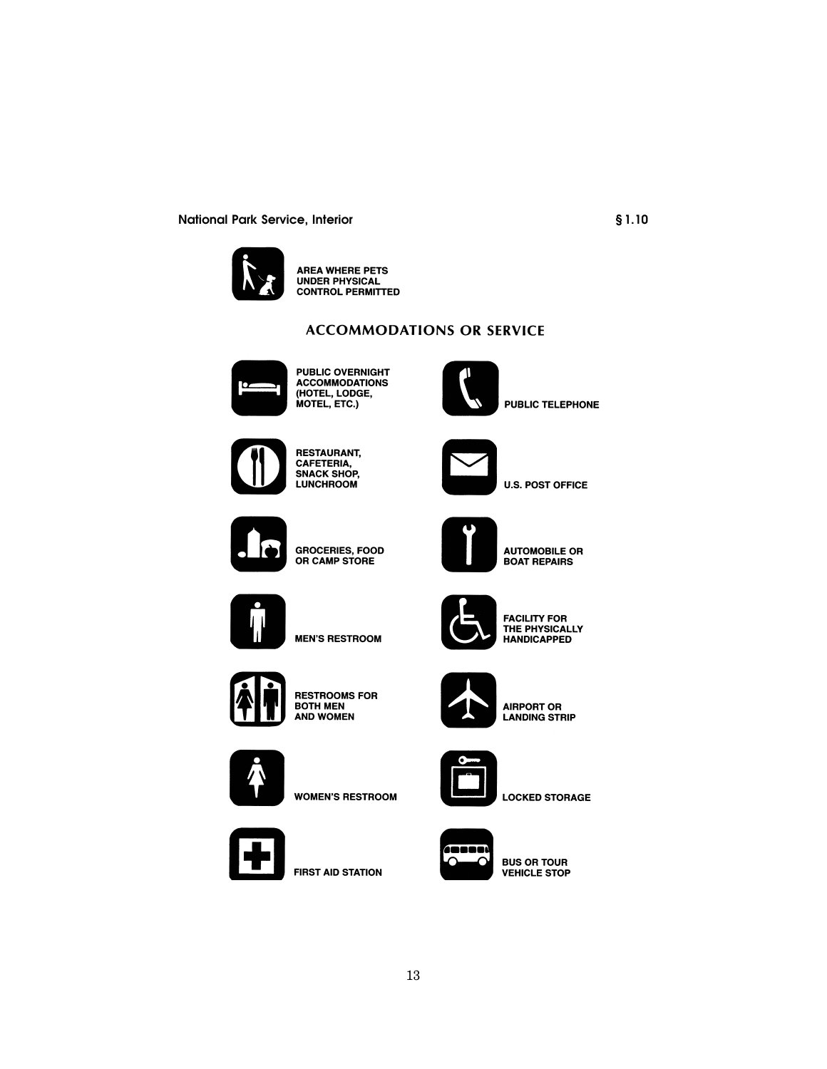

**AREA WHERE PETS UNDER PHYSICAL CONTROL PERMITTED** 

# **ACCOMMODATIONS OR SERVICE**



**PUBLIC OVERNIGHT PUBLIC OVERNIGHT<br>ACCOMMODATIONS<br>(HOTEL, LODGE,<br>MOTEL, ETC.)** 



**PUBLIC TELEPHONE** 



**RESTAURANT, CAFETERIA, SNACK SHOP, LUNCHROOM** 



**U.S. POST OFFICE** 



**GROCERIES, FOOD<br>OR CAMP STORE** 



**AUTOMOBILE OR BOAT REPAIRS** 



**MEN'S RESTROOM** 



**RESTROOMS FOR BOTH MEN AND WOMEN** 



**WOMEN'S RESTROOM** 



**FIRST AID STATION** 



FACILITY FOR<br>THE PHYSICALLY<br>HANDICAPPED



**AIRPORT OR<br>LANDING STRIP** 











**BUS OR TOUR VEHICLE STOP** 

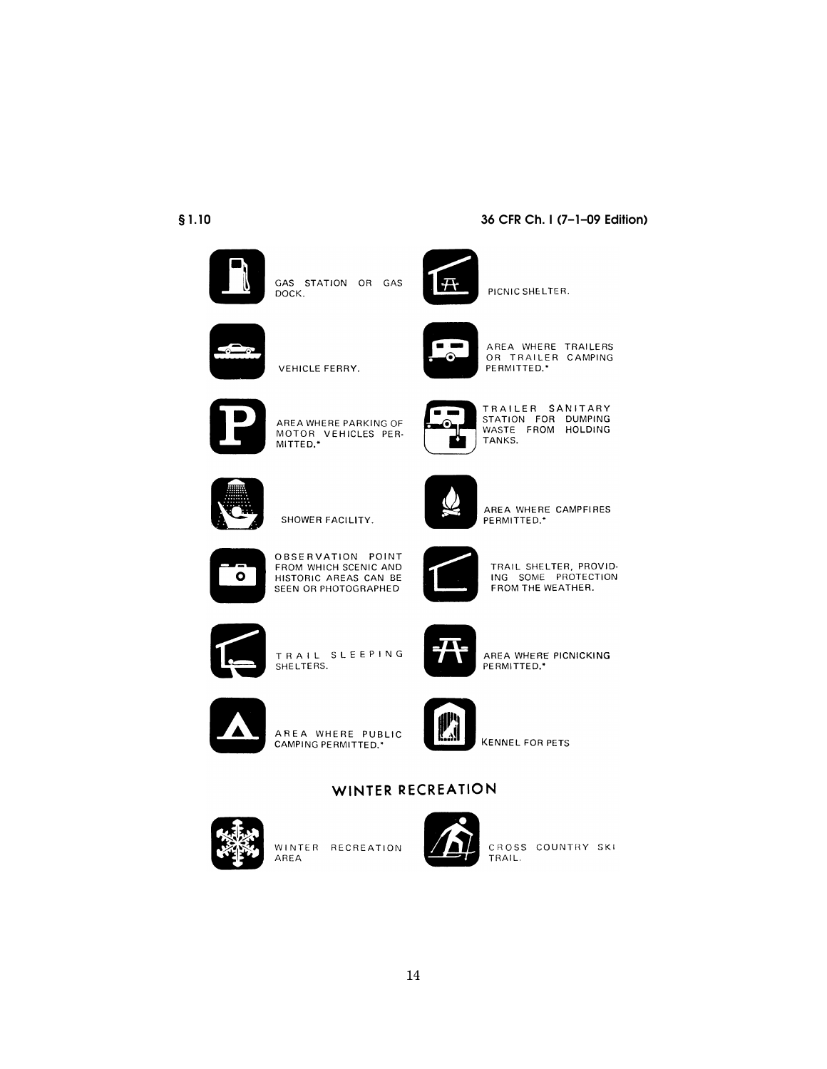## $$1.10$



GAS STATION OR GAS<br>DOCK.



PICNIC SHELTER.



AREA WHERE TRAILERS<br>OR TRAILER CAMPING PERMITTED.\*

36 CFR Ch. I (7-1-09 Edition)



AREA WHERE PARKING OF MOTOR VEHICLES PER-<br>MITTED.\*



TRAILER SANITARY<br>STATION FOR DUMPING<br>WASTE FROM HOLDING



SHOWER FACILITY.

VEHICLE FERRY.



AREA WHERE CAMPFIRES PERMITTED.\*



OBSERVATION POINT FROM WHICH SCENIC AND HISTORIC AREAS CAN BE SEEN OR PHOTOGRAPHED



TRAIL SHELTER, PROVID-ING SOME PROTECTION FROM THE WEATHER.



TRAIL SLEEPING SHELTERS.



AREA WHERE PICNICKING PERMITTED.\*



AREA WHERE PUBLIC CAMPING PERMITTED.\*



**KENNEL FOR PETS** 

# WINTER RECREATION

14



WINTER RECREATION AREA



CROSS COUNTRY SKI TRAIL.



TANKS.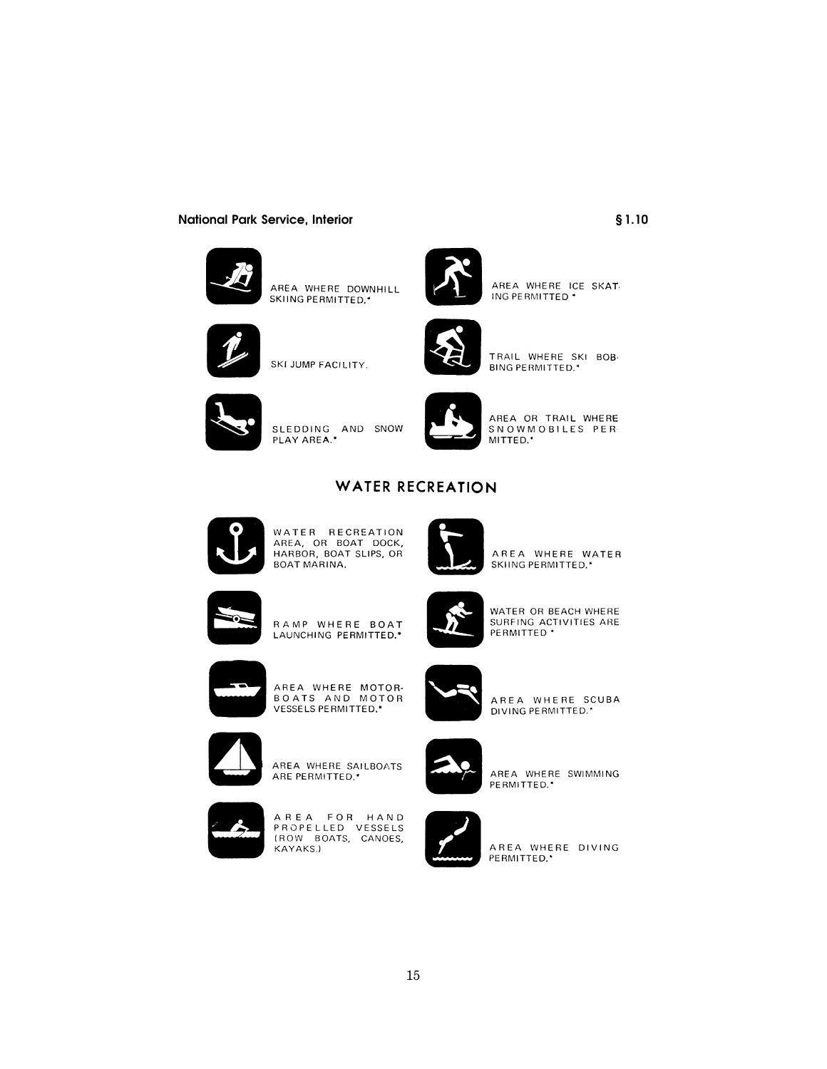

AREA WHERE DOWNHILL SKIING PERMITTED.\*



AREA WHERE ICE SKAT. ING PERMITTED \*



SKI JUMP FACILITY.



TRAIL WHERE SKI BOB-**BING PERMITTED.\*** 



SLEDDING AND SNOW<br>PLAY AREA.\*



AREA OR TRAIL WHERE<br>SNOWMOBILES PER<br>MITTED.\*

# **WATER RECREATION**



WATER RECREATION<br>AREA, OR BOAT DOCK,<br>HARBOR, BOAT SLIPS, OR<br>BOAT MARINA.



AREA WHERE WATER SKIING PERMITTED.\*



RAMP WHERE BOAT LAUNCHING PERMITTED.\*



WATER OR BEACH WHERE<br>SURFING ACTIVITIES ARE<br>PERMITTED \*

AREA WHERE SCUBA<br>DIVING PERMITTED.\*



AREA WHERE MOTOR-<br>BOATS AND MOTOR<br>VESSELSPERMITTED.\*



AREA WHERE SAILBOATS ARE PERMITTED.\*



AREA FOR HAND<br>PROPELLED VESSELS<br>(ROW BOATS, CANOES, KAYAKS.)



AREA WHERE SWIMMING

PERMITTED.\*



AREA WHERE DIVING PERMITTED.\*

 $$1.10$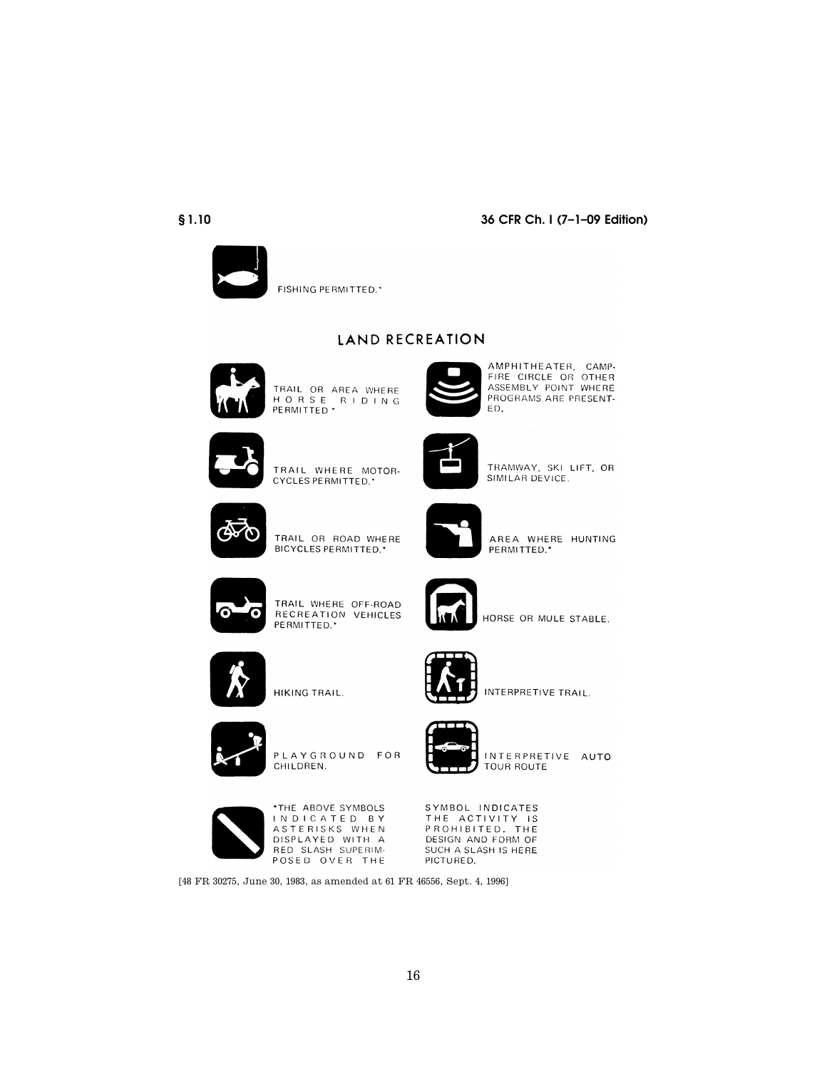## $$1.10$



FISHING PERMITTED.\*

# LAND RECREATION



TRAIL OR AREA WHERE<br>H O R S E R I D I N G<br>PERMITTED \*



AMPHITHEATER, CAMP-<br>FIRE CIRCLE OR OTHER ASSEMBLY POINT WHERE PROGRAMS ARE PRESENT-

36 CFR Ch. I (7-1-09 Edition)



TRAIL WHERE MOTOR-CYCLES PERMITTED.\*



TRAMWAY, SKI LIFT, OR SIMILAR DEVICE.



AREA WHERE HUNTING PERMITTED.\*

HORSE OR MULE STABLE.



TRAIL WHERE OFF-ROAD<br>RECREATION VEHICLES<br>PERMITTED.'



INTERPRETIVE TRAIL.



PLAYGROUND FOR CHILDREN.

HIKING TRAIL.



INTERPRETIVE AUTO TOUR ROUTE



\*THE ABOVE SYMBOLS INDICATED BY ASTERISKS WHEN DISPLAYED WITH A POSED OVER THE

SYMBOL INDICATES THE ACTIVITY IS<br>PROHIBITED. THE DESIGN AND FORM OF<br>SUCH A SLASH IS HERE PICTURED.

[48 FR 30275, June 30, 1983, as amended at 61 FR 46556, Sept. 4, 1996]

16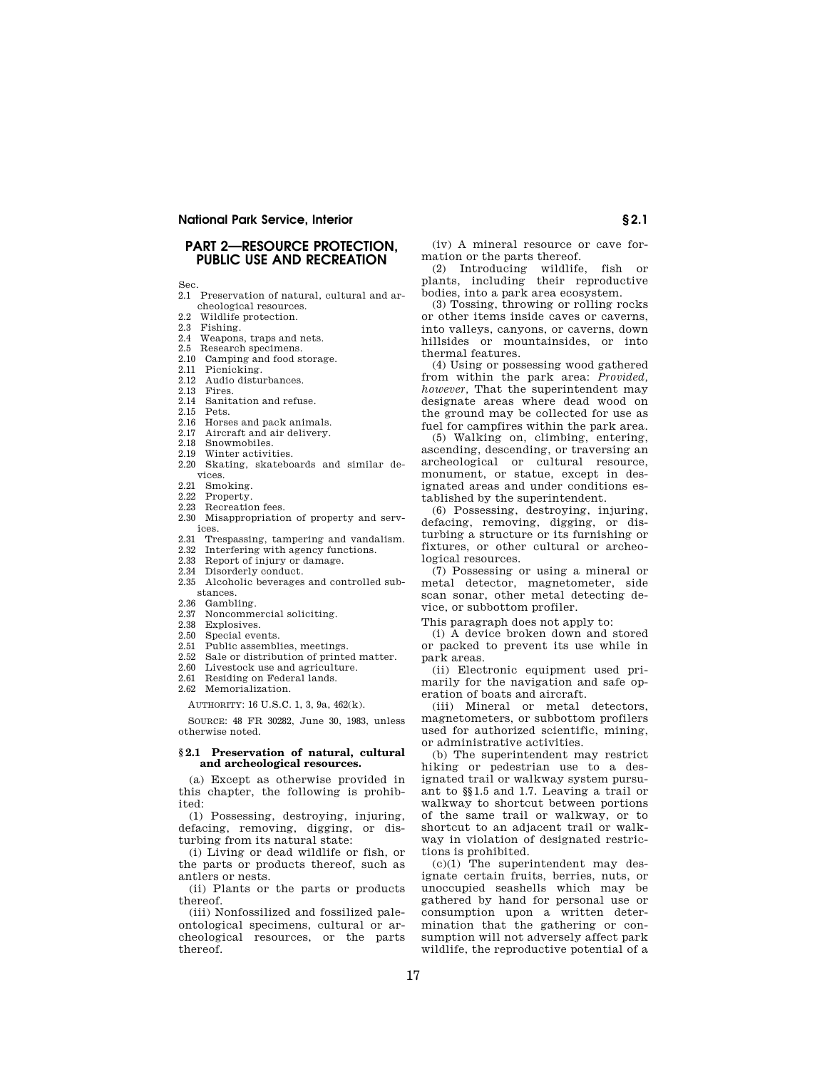## **PART 2—RESOURCE PROTECTION, PUBLIC USE AND RECREATION**

Sec.

- 2.1 Preservation of natural, cultural and archeological resources.
- 2.2 Wildlife protection.<br>2.3 Fishing.
- 2.3 Fishing.<br>2.4 Weanons
- Weapons, traps and nets.
- 2.5 Research specimens.
- 2.10 Camping and food storage.
- 2.11 Picnicking.<br>2.12 Audio distu
- 2.12 Audio disturbances.<br>2.13 Fires 2.13 Fires.
- 2.14 Sanitation and refuse.
- 2.15 Pets.
- 
- 2.16 Horses and pack animals.
- 2.17 Aircraft and air delivery.<br>2.18 Snowmobiles Snowmobiles.
- 
- 2.19 Winter activities. 2.20 Skating, skateboards and similar de-
- vices.
- 2.21 Smoking.<br>2.22 Property
- 2.22 Property.<br>2.23 Recreation Recreation fees.
- 2.30 Misappropriation of property and services.
- 2.31 Trespassing, tampering and vandalism.
- 2.32 Interfering with agency functions.<br>2.33 Report of injury or damage.
- Report of injury or damage.
- 2.34 Disorderly conduct.
- 2.35 Alcoholic beverages and controlled substances.
- 2.36 Gambling.<br>2.37 Noncomme
- Noncommercial soliciting.
- 2.38 Explosives.
- Special events.
- 2.51 Public assemblies, meetings.<br>2.52 Sale or distribution of printer
- Sale or distribution of printed matter.
- 2.60 Livestock use and agriculture.<br>2.61 Residing on Federal lands Residing on Federal lands.
- 2.62 Memorialization.
- 

AUTHORITY: 16 U.S.C. 1, 3, 9a, 462(k).

SOURCE: 48 FR 30282, June 30, 1983, unless otherwise noted.

## **§ 2.1 Preservation of natural, cultural and archeological resources.**

(a) Except as otherwise provided in this chapter, the following is prohibited:

(1) Possessing, destroying, injuring, defacing, removing, digging, or disturbing from its natural state:

(i) Living or dead wildlife or fish, or the parts or products thereof, such as antlers or nests.

(ii) Plants or the parts or products thereof.

(iii) Nonfossilized and fossilized paleontological specimens, cultural or archeological resources, or the parts thereof.

(iv) A mineral resource or cave formation or the parts thereof.

(2) Introducing wildlife, fish or plants, including their reproductive bodies, into a park area ecosystem.

(3) Tossing, throwing or rolling rocks or other items inside caves or caverns, into valleys, canyons, or caverns, down hillsides or mountainsides, or into thermal features.

(4) Using or possessing wood gathered from within the park area: *Provided, however,* That the superintendent may designate areas where dead wood on the ground may be collected for use as fuel for campfires within the park area.

(5) Walking on, climbing, entering, ascending, descending, or traversing an archeological or cultural resource, monument, or statue, except in designated areas and under conditions established by the superintendent.

(6) Possessing, destroying, injuring, defacing, removing, digging, or disturbing a structure or its furnishing or fixtures, or other cultural or archeological resources.

(7) Possessing or using a mineral or metal detector, magnetometer, side scan sonar, other metal detecting device, or subbottom profiler.

This paragraph does not apply to:

(i) A device broken down and stored or packed to prevent its use while in park areas.

(ii) Electronic equipment used primarily for the navigation and safe operation of boats and aircraft.

(iii) Mineral or metal detectors, magnetometers, or subbottom profilers used for authorized scientific, mining, or administrative activities.

(b) The superintendent may restrict hiking or pedestrian use to a designated trail or walkway system pursuant to §§1.5 and 1.7. Leaving a trail or walkway to shortcut between portions of the same trail or walkway, or to shortcut to an adjacent trail or walkway in violation of designated restrictions is prohibited.

 $(c)(1)$  The superintendent may designate certain fruits, berries, nuts, or unoccupied seashells which may be gathered by hand for personal use or consumption upon a written determination that the gathering or consumption will not adversely affect park wildlife, the reproductive potential of a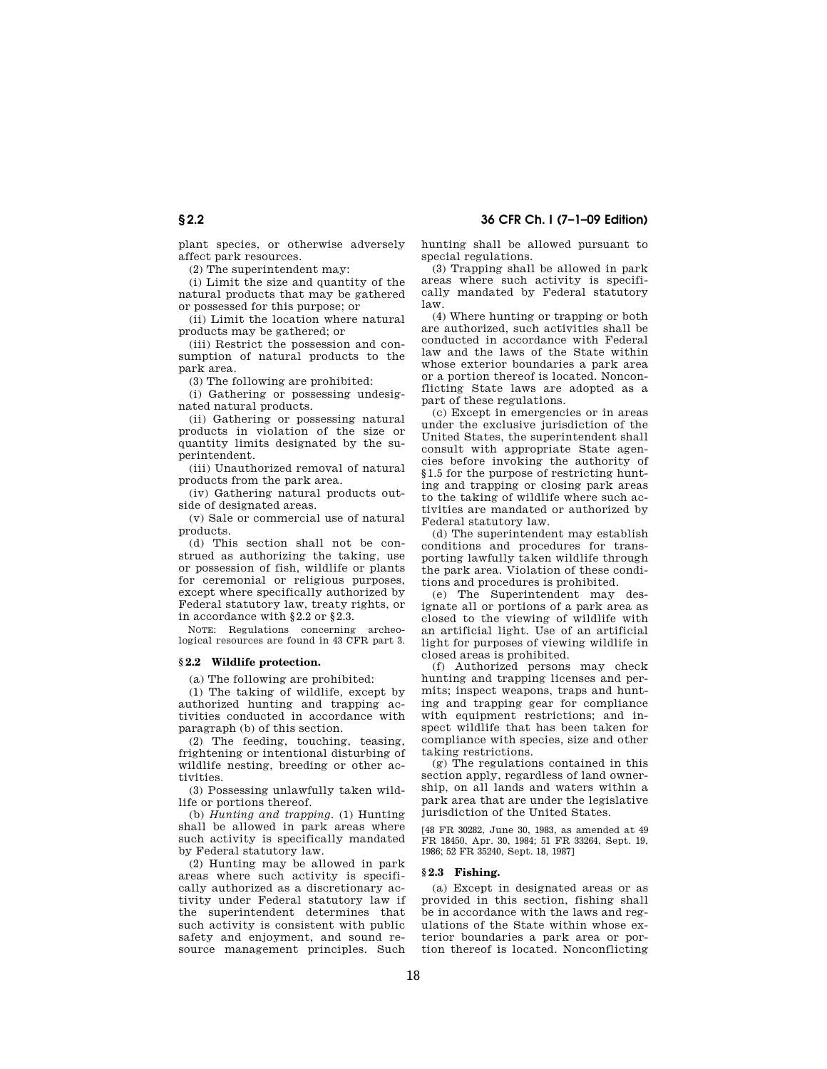plant species, or otherwise adversely affect park resources.

(2) The superintendent may:

(i) Limit the size and quantity of the natural products that may be gathered or possessed for this purpose; or

(ii) Limit the location where natural products may be gathered; or

(iii) Restrict the possession and consumption of natural products to the park area.

(3) The following are prohibited:

(i) Gathering or possessing undesignated natural products.

(ii) Gathering or possessing natural products in violation of the size or quantity limits designated by the superintendent.

(iii) Unauthorized removal of natural products from the park area.

(iv) Gathering natural products outside of designated areas.

(v) Sale or commercial use of natural products.

(d) This section shall not be construed as authorizing the taking, use or possession of fish, wildlife or plants for ceremonial or religious purposes, except where specifically authorized by Federal statutory law, treaty rights, or in accordance with §2.2 or §2.3.

NOTE: Regulations concerning archeological resources are found in 43 CFR part 3.

## **§ 2.2 Wildlife protection.**

(a) The following are prohibited:

(1) The taking of wildlife, except by authorized hunting and trapping activities conducted in accordance with paragraph (b) of this section.

(2) The feeding, touching, teasing, frightening or intentional disturbing of wildlife nesting, breeding or other activities.

(3) Possessing unlawfully taken wildlife or portions thereof.

(b) *Hunting and trapping.* (1) Hunting shall be allowed in park areas where such activity is specifically mandated by Federal statutory law.

(2) Hunting may be allowed in park areas where such activity is specifically authorized as a discretionary activity under Federal statutory law if the superintendent determines that such activity is consistent with public safety and enjoyment, and sound resource management principles. Such

hunting shall be allowed pursuant to special regulations.

(3) Trapping shall be allowed in park areas where such activity is specifically mandated by Federal statutory law.

(4) Where hunting or trapping or both are authorized, such activities shall be conducted in accordance with Federal law and the laws of the State within whose exterior boundaries a park area or a portion thereof is located. Nonconflicting State laws are adopted as a part of these regulations.

(c) Except in emergencies or in areas under the exclusive jurisdiction of the United States, the superintendent shall consult with appropriate State agencies before invoking the authority of §1.5 for the purpose of restricting hunting and trapping or closing park areas to the taking of wildlife where such activities are mandated or authorized by Federal statutory law.

(d) The superintendent may establish conditions and procedures for transporting lawfully taken wildlife through the park area. Violation of these conditions and procedures is prohibited.

(e) The Superintendent may designate all or portions of a park area as closed to the viewing of wildlife with an artificial light. Use of an artificial light for purposes of viewing wildlife in closed areas is prohibited.

(f) Authorized persons may check hunting and trapping licenses and permits; inspect weapons, traps and hunting and trapping gear for compliance with equipment restrictions; and inspect wildlife that has been taken for compliance with species, size and other taking restrictions.

(g) The regulations contained in this section apply, regardless of land ownership, on all lands and waters within a park area that are under the legislative jurisdiction of the United States.

[48 FR 30282, June 30, 1983, as amended at 49 FR 18450, Apr. 30, 1984; 51 FR 33264, Sept. 19, 1986; 52 FR 35240, Sept. 18, 1987]

## **§ 2.3 Fishing.**

(a) Except in designated areas or as provided in this section, fishing shall be in accordance with the laws and regulations of the State within whose exterior boundaries a park area or portion thereof is located. Nonconflicting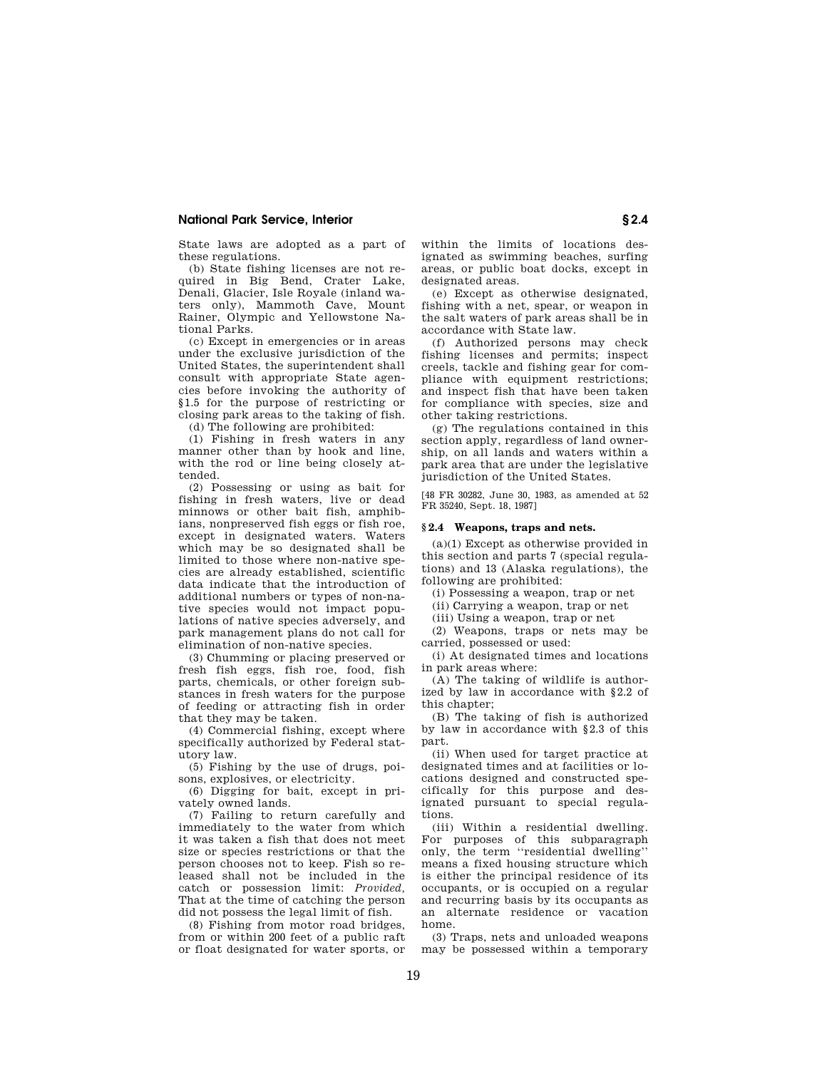State laws are adopted as a part of these regulations.

(b) State fishing licenses are not required in Big Bend, Crater Lake, Denali, Glacier, Isle Royale (inland waters only), Mammoth Cave, Mount Rainer, Olympic and Yellowstone National Parks.

(c) Except in emergencies or in areas under the exclusive jurisdiction of the United States, the superintendent shall consult with appropriate State agencies before invoking the authority of §1.5 for the purpose of restricting or closing park areas to the taking of fish.

(d) The following are prohibited:

(1) Fishing in fresh waters in any manner other than by hook and line, with the rod or line being closely attended.

(2) Possessing or using as bait for fishing in fresh waters, live or dead minnows or other bait fish, amphibians, nonpreserved fish eggs or fish roe, except in designated waters. Waters which may be so designated shall be limited to those where non-native species are already established, scientific data indicate that the introduction of additional numbers or types of non-native species would not impact populations of native species adversely, and park management plans do not call for elimination of non-native species.

(3) Chumming or placing preserved or fresh fish eggs, fish roe, food, fish parts, chemicals, or other foreign substances in fresh waters for the purpose of feeding or attracting fish in order that they may be taken.

(4) Commercial fishing, except where specifically authorized by Federal statutory law.

(5) Fishing by the use of drugs, poisons, explosives, or electricity.

(6) Digging for bait, except in privately owned lands.

(7) Failing to return carefully and immediately to the water from which it was taken a fish that does not meet size or species restrictions or that the person chooses not to keep. Fish so released shall not be included in the catch or possession limit: *Provided,*  That at the time of catching the person did not possess the legal limit of fish.

(8) Fishing from motor road bridges, from or within 200 feet of a public raft or float designated for water sports, or within the limits of locations designated as swimming beaches, surfing areas, or public boat docks, except in designated areas.

(e) Except as otherwise designated, fishing with a net, spear, or weapon in the salt waters of park areas shall be in accordance with State law.

(f) Authorized persons may check fishing licenses and permits; inspect creels, tackle and fishing gear for compliance with equipment restrictions; and inspect fish that have been taken for compliance with species, size and other taking restrictions.

(g) The regulations contained in this section apply, regardless of land ownership, on all lands and waters within a park area that are under the legislative jurisdiction of the United States.

[48 FR 30282, June 30, 1983, as amended at 52 FR 35240, Sept. 18, 1987]

## **§ 2.4 Weapons, traps and nets.**

(a)(1) Except as otherwise provided in this section and parts 7 (special regulations) and 13 (Alaska regulations), the following are prohibited:

(i) Possessing a weapon, trap or net

(ii) Carrying a weapon, trap or net

(iii) Using a weapon, trap or net

(2) Weapons, traps or nets may be carried, possessed or used:

(i) At designated times and locations in park areas where:

(A) The taking of wildlife is authorized by law in accordance with §2.2 of this chapter;

(B) The taking of fish is authorized by law in accordance with §2.3 of this part.

(ii) When used for target practice at designated times and at facilities or locations designed and constructed specifically for this purpose and designated pursuant to special regulations.

(iii) Within a residential dwelling. For purposes of this subparagraph only, the term ''residential dwelling'' means a fixed housing structure which is either the principal residence of its occupants, or is occupied on a regular and recurring basis by its occupants as an alternate residence or vacation home.

(3) Traps, nets and unloaded weapons may be possessed within a temporary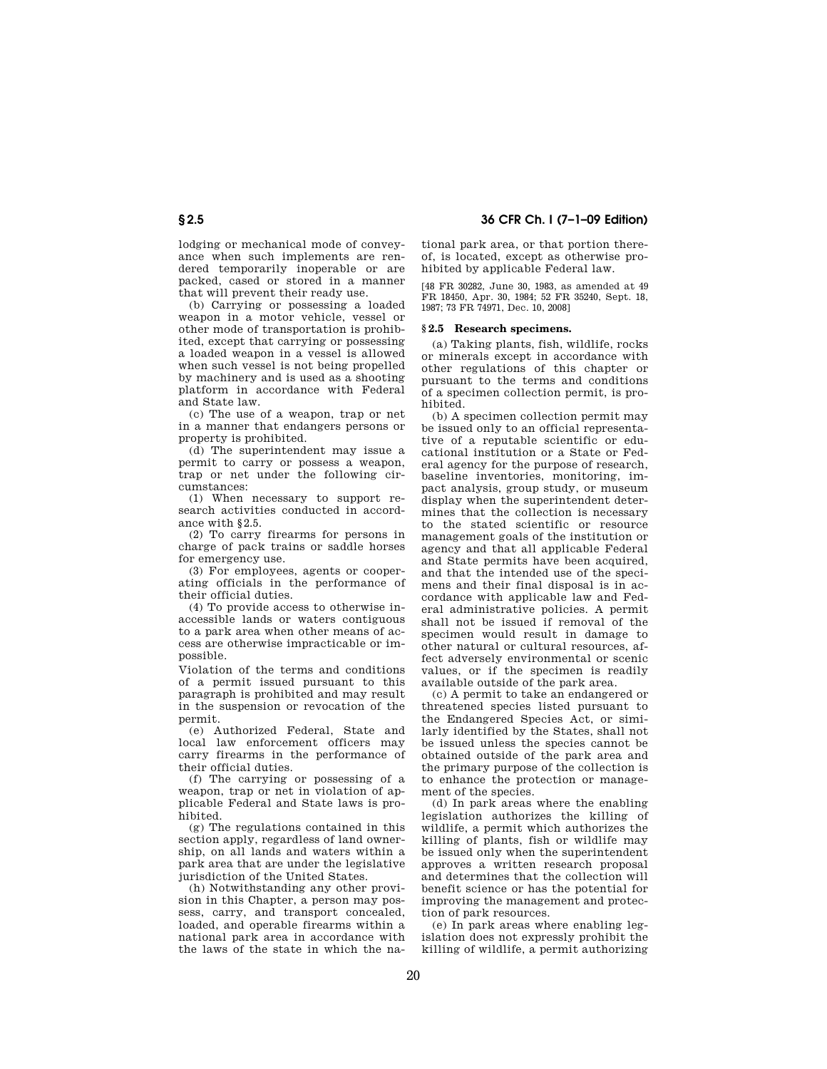lodging or mechanical mode of conveyance when such implements are rendered temporarily inoperable or are packed, cased or stored in a manner that will prevent their ready use.

(b) Carrying or possessing a loaded weapon in a motor vehicle, vessel or other mode of transportation is prohibited, except that carrying or possessing a loaded weapon in a vessel is allowed when such vessel is not being propelled by machinery and is used as a shooting platform in accordance with Federal and State law.

(c) The use of a weapon, trap or net in a manner that endangers persons or property is prohibited.

(d) The superintendent may issue a permit to carry or possess a weapon, trap or net under the following circumstances:

(1) When necessary to support research activities conducted in accordance with §2.5.

(2) To carry firearms for persons in charge of pack trains or saddle horses for emergency use.

(3) For employees, agents or cooperating officials in the performance of their official duties.

(4) To provide access to otherwise inaccessible lands or waters contiguous to a park area when other means of access are otherwise impracticable or impossible.

Violation of the terms and conditions of a permit issued pursuant to this paragraph is prohibited and may result in the suspension or revocation of the permit.

(e) Authorized Federal, State and local law enforcement officers may carry firearms in the performance of their official duties.

(f) The carrying or possessing of a weapon, trap or net in violation of applicable Federal and State laws is prohibited.

(g) The regulations contained in this section apply, regardless of land ownership, on all lands and waters within a park area that are under the legislative jurisdiction of the United States.

(h) Notwithstanding any other provision in this Chapter, a person may possess, carry, and transport concealed, loaded, and operable firearms within a national park area in accordance with the laws of the state in which the na-

tional park area, or that portion thereof, is located, except as otherwise prohibited by applicable Federal law.

[48 FR 30282, June 30, 1983, as amended at 49 FR 18450, Apr. 30, 1984; 52 FR 35240, Sept. 18, 1987; 73 FR 74971, Dec. 10, 2008]

## **§ 2.5 Research specimens.**

(a) Taking plants, fish, wildlife, rocks or minerals except in accordance with other regulations of this chapter or pursuant to the terms and conditions of a specimen collection permit, is prohibited.

(b) A specimen collection permit may be issued only to an official representative of a reputable scientific or educational institution or a State or Federal agency for the purpose of research, baseline inventories, monitoring, impact analysis, group study, or museum display when the superintendent determines that the collection is necessary to the stated scientific or resource management goals of the institution or agency and that all applicable Federal and State permits have been acquired, and that the intended use of the specimens and their final disposal is in accordance with applicable law and Federal administrative policies. A permit shall not be issued if removal of the specimen would result in damage to other natural or cultural resources, affect adversely environmental or scenic values, or if the specimen is readily available outside of the park area.

(c) A permit to take an endangered or threatened species listed pursuant to the Endangered Species Act, or similarly identified by the States, shall not be issued unless the species cannot be obtained outside of the park area and the primary purpose of the collection is to enhance the protection or management of the species.

(d) In park areas where the enabling legislation authorizes the killing of wildlife, a permit which authorizes the killing of plants, fish or wildlife may be issued only when the superintendent approves a written research proposal and determines that the collection will benefit science or has the potential for improving the management and protection of park resources.

(e) In park areas where enabling legislation does not expressly prohibit the killing of wildlife, a permit authorizing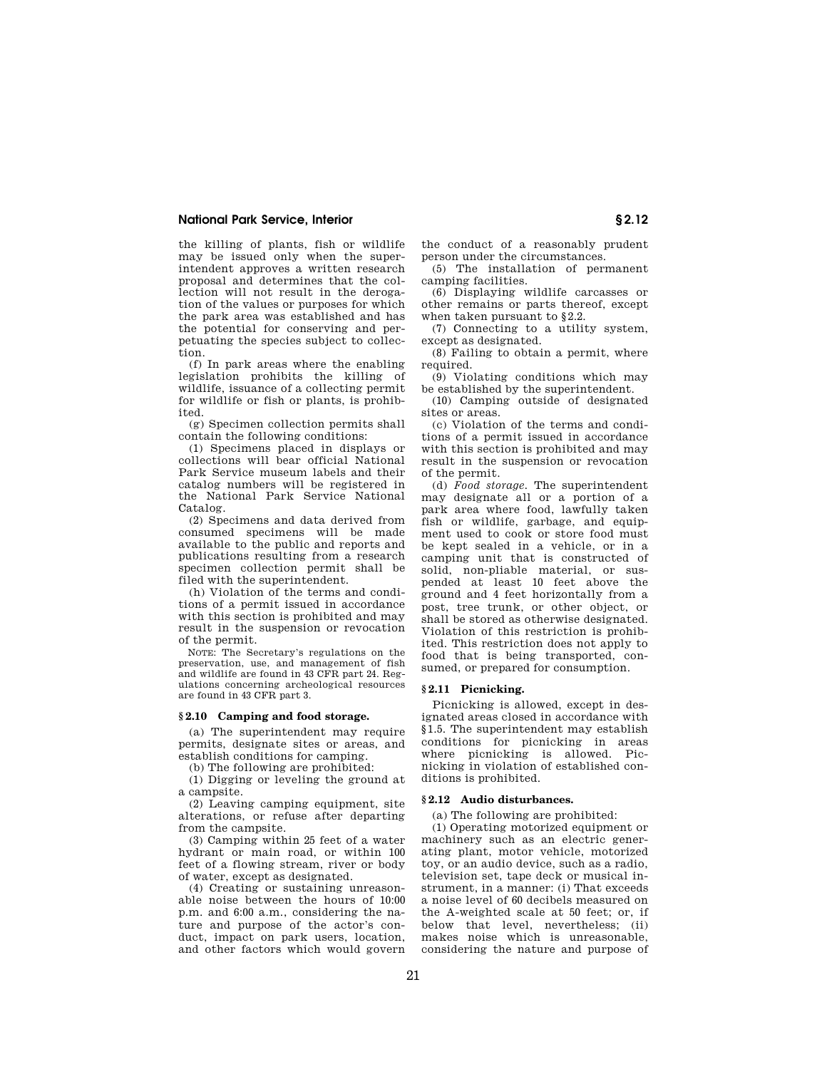the killing of plants, fish or wildlife may be issued only when the superintendent approves a written research proposal and determines that the collection will not result in the derogation of the values or purposes for which the park area was established and has the potential for conserving and perpetuating the species subject to collection.

(f) In park areas where the enabling legislation prohibits the killing of wildlife, issuance of a collecting permit for wildlife or fish or plants, is prohibited.

(g) Specimen collection permits shall contain the following conditions:

(1) Specimens placed in displays or collections will bear official National Park Service museum labels and their catalog numbers will be registered in the National Park Service National Catalog.

(2) Specimens and data derived from consumed specimens will be made available to the public and reports and publications resulting from a research specimen collection permit shall be filed with the superintendent.

(h) Violation of the terms and conditions of a permit issued in accordance with this section is prohibited and may result in the suspension or revocation of the permit.

NOTE: The Secretary's regulations on the preservation, use, and management of fish and wildlife are found in 43 CFR part 24. Regulations concerning archeological resources are found in 43 CFR part 3.

#### **§ 2.10 Camping and food storage.**

(a) The superintendent may require permits, designate sites or areas, and establish conditions for camping.

(b) The following are prohibited:

(1) Digging or leveling the ground at a campsite.

(2) Leaving camping equipment, site alterations, or refuse after departing from the campsite.

(3) Camping within 25 feet of a water hydrant or main road, or within 100 feet of a flowing stream, river or body of water, except as designated.

(4) Creating or sustaining unreasonable noise between the hours of 10:00 p.m. and 6:00 a.m., considering the nature and purpose of the actor's conduct, impact on park users, location, and other factors which would govern

the conduct of a reasonably prudent person under the circumstances.

(5) The installation of permanent camping facilities.

(6) Displaying wildlife carcasses or other remains or parts thereof, except when taken pursuant to §2.2.

(7) Connecting to a utility system, except as designated.

(8) Failing to obtain a permit, where required.

(9) Violating conditions which may be established by the superintendent.

(10) Camping outside of designated sites or areas.

(c) Violation of the terms and conditions of a permit issued in accordance with this section is prohibited and may result in the suspension or revocation of the permit.

(d) *Food storage.* The superintendent may designate all or a portion of a park area where food, lawfully taken fish or wildlife, garbage, and equipment used to cook or store food must be kept sealed in a vehicle, or in a camping unit that is constructed of solid, non-pliable material, or suspended at least 10 feet above the ground and 4 feet horizontally from a post, tree trunk, or other object, or shall be stored as otherwise designated. Violation of this restriction is prohibited. This restriction does not apply to food that is being transported, consumed, or prepared for consumption.

## **§ 2.11 Picnicking.**

Picnicking is allowed, except in designated areas closed in accordance with §1.5. The superintendent may establish conditions for picnicking in areas where picnicking is allowed. Picnicking in violation of established conditions is prohibited.

### **§ 2.12 Audio disturbances.**

(a) The following are prohibited:

(1) Operating motorized equipment or machinery such as an electric generating plant, motor vehicle, motorized toy, or an audio device, such as a radio, television set, tape deck or musical instrument, in a manner: (i) That exceeds a noise level of 60 decibels measured on the A-weighted scale at 50 feet; or, if below that level, nevertheless; (ii) makes noise which is unreasonable, considering the nature and purpose of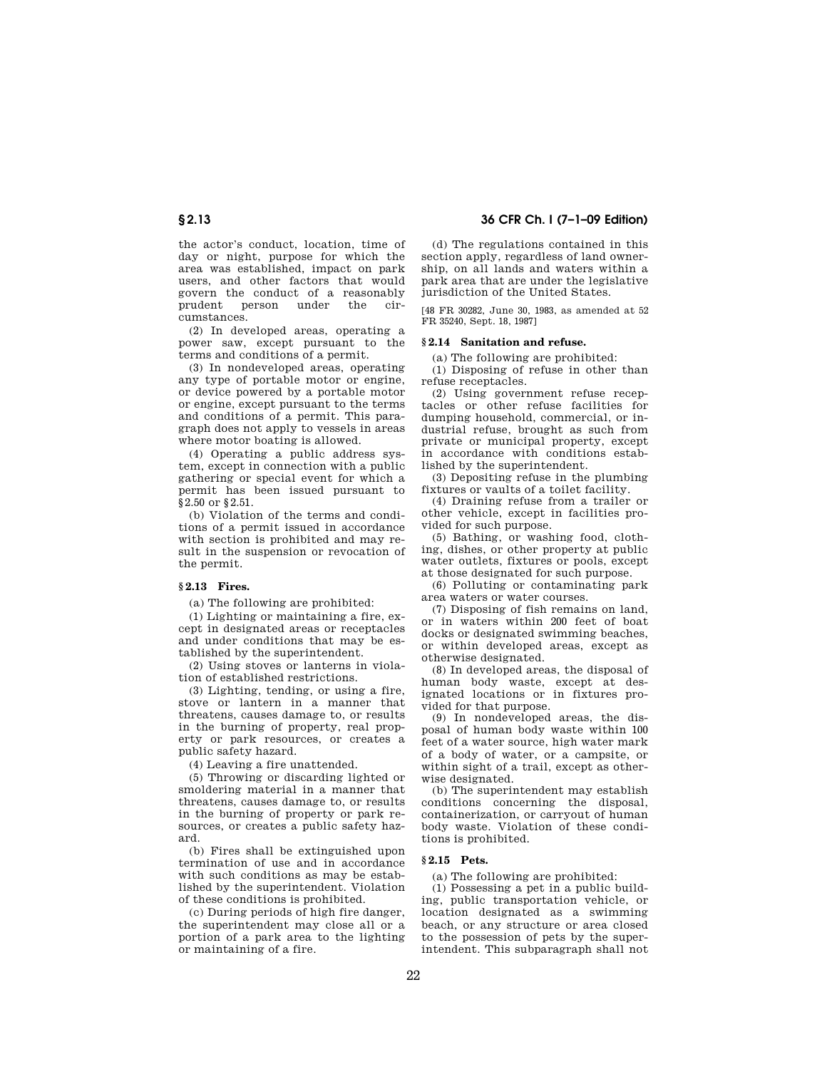the actor's conduct, location, time of day or night, purpose for which the area was established, impact on park users, and other factors that would govern the conduct of a reasonably prudent person under the circumstances.

(2) In developed areas, operating a power saw, except pursuant to the terms and conditions of a permit.

(3) In nondeveloped areas, operating any type of portable motor or engine, or device powered by a portable motor or engine, except pursuant to the terms and conditions of a permit. This paragraph does not apply to vessels in areas where motor boating is allowed.

(4) Operating a public address system, except in connection with a public gathering or special event for which a permit has been issued pursuant to §2.50 or §2.51.

(b) Violation of the terms and conditions of a permit issued in accordance with section is prohibited and may result in the suspension or revocation of the permit.

## **§ 2.13 Fires.**

(a) The following are prohibited:

(1) Lighting or maintaining a fire, except in designated areas or receptacles and under conditions that may be established by the superintendent.

(2) Using stoves or lanterns in violation of established restrictions.

(3) Lighting, tending, or using a fire, stove or lantern in a manner that threatens, causes damage to, or results in the burning of property, real property or park resources, or creates a public safety hazard.

(4) Leaving a fire unattended.

(5) Throwing or discarding lighted or smoldering material in a manner that threatens, causes damage to, or results in the burning of property or park resources, or creates a public safety hazard.

(b) Fires shall be extinguished upon termination of use and in accordance with such conditions as may be established by the superintendent. Violation of these conditions is prohibited.

(c) During periods of high fire danger, the superintendent may close all or a portion of a park area to the lighting or maintaining of a fire.

**§ 2.13 36 CFR Ch. I (7–1–09 Edition)** 

(d) The regulations contained in this section apply, regardless of land ownership, on all lands and waters within a park area that are under the legislative jurisdiction of the United States.

[48 FR 30282, June 30, 1983, as amended at 52 FR 35240, Sept. 18, 1987]

## **§ 2.14 Sanitation and refuse.**

(a) The following are prohibited:

(1) Disposing of refuse in other than refuse receptacles.

(2) Using government refuse receptacles or other refuse facilities for dumping household, commercial, or industrial refuse, brought as such from private or municipal property, except in accordance with conditions established by the superintendent.

(3) Depositing refuse in the plumbing fixtures or vaults of a toilet facility.

(4) Draining refuse from a trailer or other vehicle, except in facilities provided for such purpose.

(5) Bathing, or washing food, clothing, dishes, or other property at public water outlets, fixtures or pools, except at those designated for such purpose.

(6) Polluting or contaminating park area waters or water courses.

(7) Disposing of fish remains on land, or in waters within 200 feet of boat docks or designated swimming beaches, or within developed areas, except as otherwise designated.

(8) In developed areas, the disposal of human body waste, except at designated locations or in fixtures provided for that purpose.

(9) In nondeveloped areas, the disposal of human body waste within 100 feet of a water source, high water mark of a body of water, or a campsite, or within sight of a trail, except as otherwise designated.

(b) The superintendent may establish conditions concerning the disposal, containerization, or carryout of human body waste. Violation of these conditions is prohibited.

## **§ 2.15 Pets.**

(a) The following are prohibited:

(1) Possessing a pet in a public building, public transportation vehicle, or location designated as a swimming beach, or any structure or area closed to the possession of pets by the superintendent. This subparagraph shall not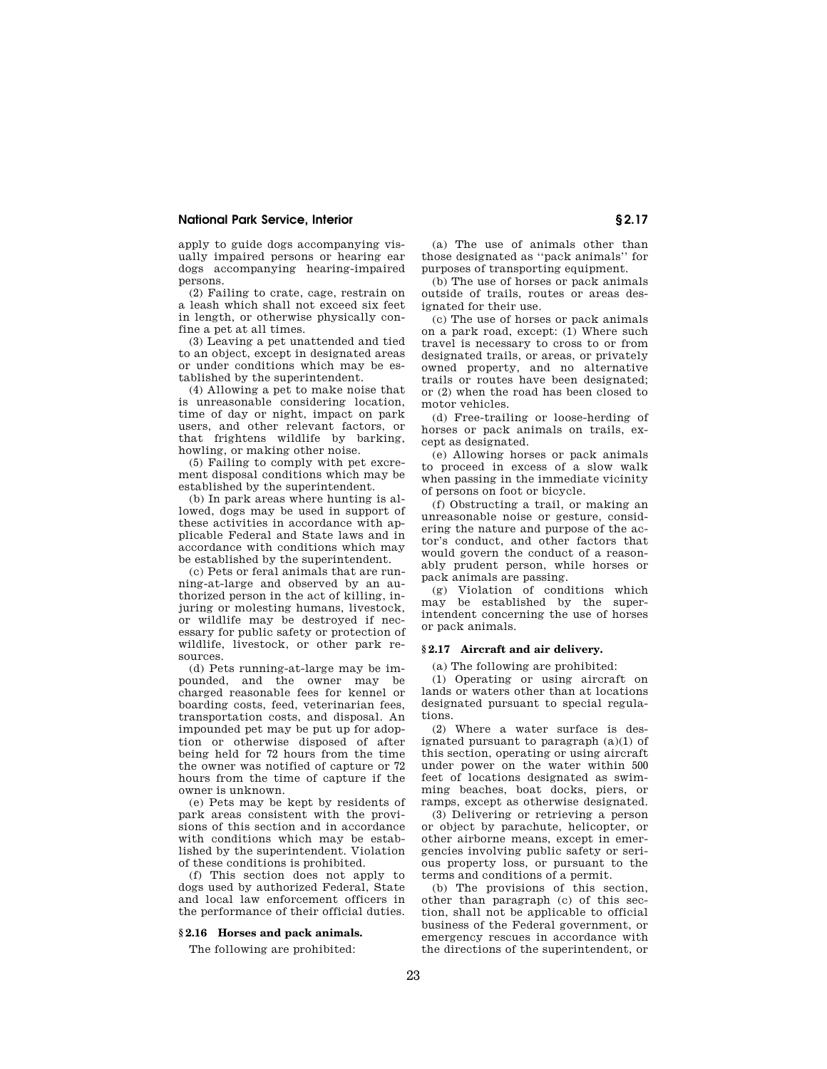apply to guide dogs accompanying visually impaired persons or hearing ear dogs accompanying hearing-impaired persons.

(2) Failing to crate, cage, restrain on a leash which shall not exceed six feet in length, or otherwise physically confine a pet at all times.

(3) Leaving a pet unattended and tied to an object, except in designated areas or under conditions which may be established by the superintendent.

(4) Allowing a pet to make noise that is unreasonable considering location, time of day or night, impact on park users, and other relevant factors, or that frightens wildlife by barking, howling, or making other noise.

(5) Failing to comply with pet excrement disposal conditions which may be established by the superintendent.

(b) In park areas where hunting is allowed, dogs may be used in support of these activities in accordance with applicable Federal and State laws and in accordance with conditions which may be established by the superintendent.

(c) Pets or feral animals that are running-at-large and observed by an authorized person in the act of killing, injuring or molesting humans, livestock, or wildlife may be destroyed if necessary for public safety or protection of wildlife, livestock, or other park resources.

(d) Pets running-at-large may be impounded, and the owner may be charged reasonable fees for kennel or boarding costs, feed, veterinarian fees, transportation costs, and disposal. An impounded pet may be put up for adoption or otherwise disposed of after being held for 72 hours from the time the owner was notified of capture or 72 hours from the time of capture if the owner is unknown.

(e) Pets may be kept by residents of park areas consistent with the provisions of this section and in accordance with conditions which may be established by the superintendent. Violation of these conditions is prohibited.

(f) This section does not apply to dogs used by authorized Federal, State and local law enforcement officers in the performance of their official duties.

## **§ 2.16 Horses and pack animals.**

The following are prohibited:

(a) The use of animals other than those designated as ''pack animals'' for purposes of transporting equipment.

(b) The use of horses or pack animals outside of trails, routes or areas designated for their use.

(c) The use of horses or pack animals on a park road, except: (1) Where such travel is necessary to cross to or from designated trails, or areas, or privately owned property, and no alternative trails or routes have been designated; or (2) when the road has been closed to motor vehicles.

(d) Free-trailing or loose-herding of horses or pack animals on trails, except as designated.

(e) Allowing horses or pack animals to proceed in excess of a slow walk when passing in the immediate vicinity of persons on foot or bicycle.

(f) Obstructing a trail, or making an unreasonable noise or gesture, considering the nature and purpose of the actor's conduct, and other factors that would govern the conduct of a reasonably prudent person, while horses or pack animals are passing.

(g) Violation of conditions which may be established by the superintendent concerning the use of horses or pack animals.

## **§ 2.17 Aircraft and air delivery.**

(a) The following are prohibited:

(1) Operating or using aircraft on lands or waters other than at locations designated pursuant to special regulations.

(2) Where a water surface is designated pursuant to paragraph (a)(1) of this section, operating or using aircraft under power on the water within 500 feet of locations designated as swimming beaches, boat docks, piers, or ramps, except as otherwise designated.

(3) Delivering or retrieving a person or object by parachute, helicopter, or other airborne means, except in emergencies involving public safety or serious property loss, or pursuant to the terms and conditions of a permit.

(b) The provisions of this section, other than paragraph (c) of this section, shall not be applicable to official business of the Federal government, or emergency rescues in accordance with the directions of the superintendent, or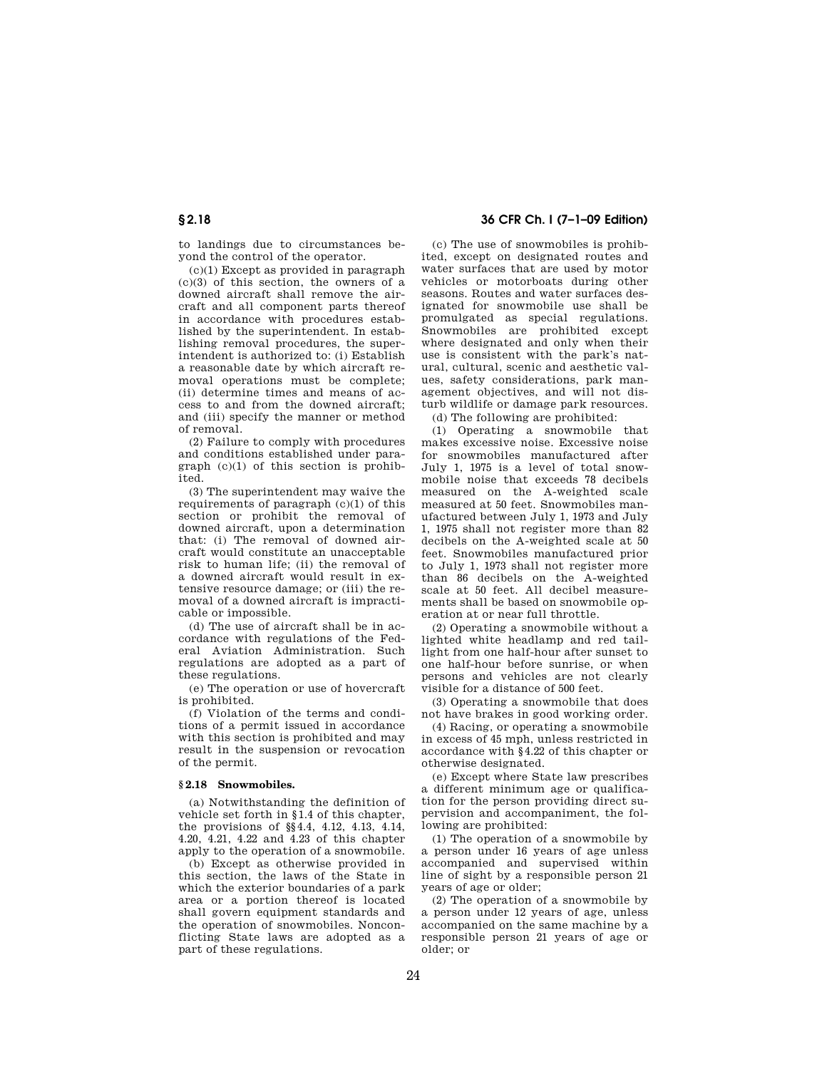to landings due to circumstances beyond the control of the operator.

(c)(1) Except as provided in paragraph (c)(3) of this section, the owners of a downed aircraft shall remove the aircraft and all component parts thereof in accordance with procedures established by the superintendent. In establishing removal procedures, the superintendent is authorized to: (i) Establish a reasonable date by which aircraft removal operations must be complete; (ii) determine times and means of access to and from the downed aircraft; and (iii) specify the manner or method of removal.

(2) Failure to comply with procedures and conditions established under paragraph (c)(1) of this section is prohibited.

(3) The superintendent may waive the requirements of paragraph  $(c)(1)$  of this section or prohibit the removal of downed aircraft, upon a determination that: (i) The removal of downed aircraft would constitute an unacceptable risk to human life; (ii) the removal of a downed aircraft would result in extensive resource damage; or (iii) the removal of a downed aircraft is impracticable or impossible.

(d) The use of aircraft shall be in accordance with regulations of the Federal Aviation Administration. Such regulations are adopted as a part of these regulations.

(e) The operation or use of hovercraft is prohibited.

(f) Violation of the terms and conditions of a permit issued in accordance with this section is prohibited and may result in the suspension or revocation of the permit.

## **§ 2.18 Snowmobiles.**

(a) Notwithstanding the definition of vehicle set forth in §1.4 of this chapter, the provisions of §§4.4, 4.12, 4.13, 4.14, 4.20, 4.21, 4.22 and 4.23 of this chapter apply to the operation of a snowmobile.

(b) Except as otherwise provided in this section, the laws of the State in which the exterior boundaries of a park area or a portion thereof is located shall govern equipment standards and the operation of snowmobiles. Nonconflicting State laws are adopted as a part of these regulations.

## **§ 2.18 36 CFR Ch. I (7–1–09 Edition)**

(c) The use of snowmobiles is prohibited, except on designated routes and water surfaces that are used by motor vehicles or motorboats during other seasons. Routes and water surfaces designated for snowmobile use shall be promulgated as special regulations. Snowmobiles are prohibited except where designated and only when their use is consistent with the park's natural, cultural, scenic and aesthetic values, safety considerations, park management objectives, and will not disturb wildlife or damage park resources.

(d) The following are prohibited:

(1) Operating a snowmobile that makes excessive noise. Excessive noise for snowmobiles manufactured after July 1, 1975 is a level of total snowmobile noise that exceeds 78 decibels measured on the A-weighted scale measured at 50 feet. Snowmobiles manufactured between July 1, 1973 and July 1, 1975 shall not register more than 82 decibels on the A-weighted scale at 50 feet. Snowmobiles manufactured prior to July 1, 1973 shall not register more than 86 decibels on the A-weighted scale at 50 feet. All decibel measurements shall be based on snowmobile operation at or near full throttle.

(2) Operating a snowmobile without a lighted white headlamp and red taillight from one half-hour after sunset to one half-hour before sunrise, or when persons and vehicles are not clearly visible for a distance of 500 feet.

(3) Operating a snowmobile that does not have brakes in good working order.

(4) Racing, or operating a snowmobile in excess of 45 mph, unless restricted in accordance with §4.22 of this chapter or otherwise designated.

(e) Except where State law prescribes a different minimum age or qualification for the person providing direct supervision and accompaniment, the following are prohibited:

(1) The operation of a snowmobile by a person under 16 years of age unless accompanied and supervised within line of sight by a responsible person 21 years of age or older;

(2) The operation of a snowmobile by a person under 12 years of age, unless accompanied on the same machine by a responsible person 21 years of age or older; or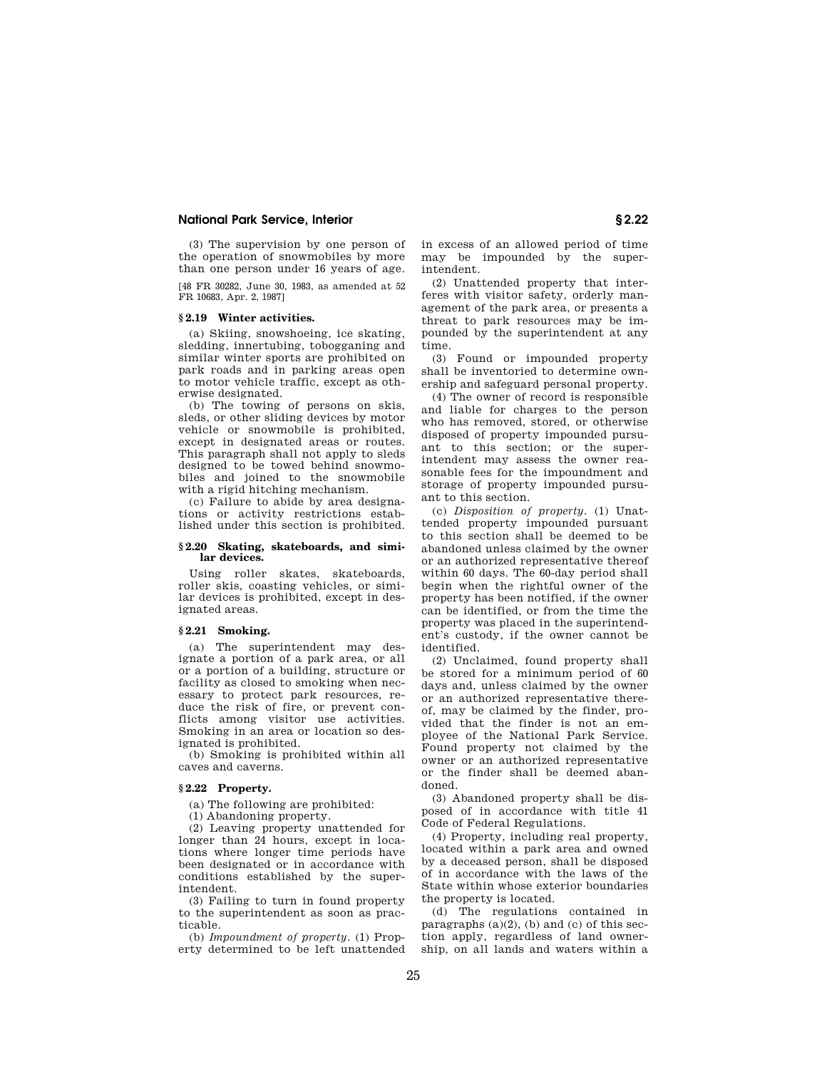(3) The supervision by one person of the operation of snowmobiles by more than one person under 16 years of age.

[48 FR 30282, June 30, 1983, as amended at 52 FR 10683, Apr. 2, 1987]

### **§ 2.19 Winter activities.**

(a) Skiing, snowshoeing, ice skating, sledding, innertubing, tobogganing and similar winter sports are prohibited on park roads and in parking areas open to motor vehicle traffic, except as otherwise designated.

(b) The towing of persons on skis, sleds, or other sliding devices by motor vehicle or snowmobile is prohibited, except in designated areas or routes. This paragraph shall not apply to sleds designed to be towed behind snowmobiles and joined to the snowmobile with a rigid hitching mechanism.

(c) Failure to abide by area designations or activity restrictions established under this section is prohibited.

## **§ 2.20 Skating, skateboards, and similar devices.**

Using roller skates, skateboards, roller skis, coasting vehicles, or similar devices is prohibited, except in designated areas.

### **§ 2.21 Smoking.**

(a) The superintendent may designate a portion of a park area, or all or a portion of a building, structure or facility as closed to smoking when necessary to protect park resources, reduce the risk of fire, or prevent conflicts among visitor use activities. Smoking in an area or location so designated is prohibited.

(b) Smoking is prohibited within all caves and caverns.

## **§ 2.22 Property.**

(a) The following are prohibited:

(1) Abandoning property.

(2) Leaving property unattended for longer than 24 hours, except in locations where longer time periods have been designated or in accordance with conditions established by the superintendent.

(3) Failing to turn in found property to the superintendent as soon as practicable.

(b) *Impoundment of property.* (1) Property determined to be left unattended in excess of an allowed period of time may be impounded by the superintendent.

(2) Unattended property that interferes with visitor safety, orderly management of the park area, or presents a threat to park resources may be impounded by the superintendent at any time.

(3) Found or impounded property shall be inventoried to determine ownership and safeguard personal property.

(4) The owner of record is responsible and liable for charges to the person who has removed, stored, or otherwise disposed of property impounded pursuant to this section; or the superintendent may assess the owner reasonable fees for the impoundment and storage of property impounded pursuant to this section.

(c) *Disposition of property.* (1) Unattended property impounded pursuant to this section shall be deemed to be abandoned unless claimed by the owner or an authorized representative thereof within 60 days. The 60-day period shall begin when the rightful owner of the property has been notified, if the owner can be identified, or from the time the property was placed in the superintendent's custody, if the owner cannot be identified.

(2) Unclaimed, found property shall be stored for a minimum period of 60 days and, unless claimed by the owner or an authorized representative thereof, may be claimed by the finder, provided that the finder is not an employee of the National Park Service. Found property not claimed by the owner or an authorized representative or the finder shall be deemed abandoned.

(3) Abandoned property shall be disposed of in accordance with title 41 Code of Federal Regulations.

(4) Property, including real property, located within a park area and owned by a deceased person, shall be disposed of in accordance with the laws of the State within whose exterior boundaries the property is located.

(d) The regulations contained in paragraphs  $(a)(2)$ ,  $(b)$  and  $(c)$  of this section apply, regardless of land ownership, on all lands and waters within a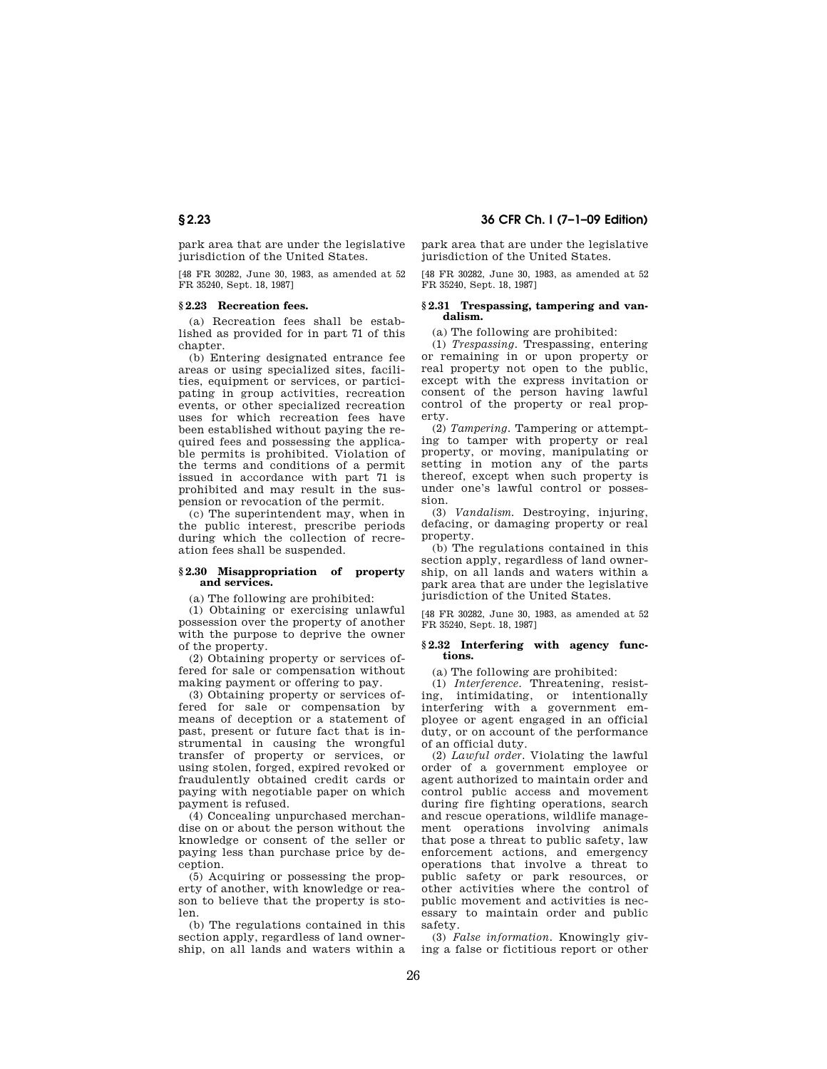# **§ 2.23 36 CFR Ch. I (7–1–09 Edition)**

park area that are under the legislative jurisdiction of the United States.

[48 FR 30282, June 30, 1983, as amended at 52 FR 35240, Sept. 18, 1987]

## **§ 2.23 Recreation fees.**

(a) Recreation fees shall be established as provided for in part 71 of this chapter.

(b) Entering designated entrance fee areas or using specialized sites, facilities, equipment or services, or participating in group activities, recreation events, or other specialized recreation uses for which recreation fees have been established without paying the required fees and possessing the applicable permits is prohibited. Violation of the terms and conditions of a permit issued in accordance with part 71 is prohibited and may result in the suspension or revocation of the permit.

(c) The superintendent may, when in the public interest, prescribe periods during which the collection of recreation fees shall be suspended.

## **§ 2.30 Misappropriation of property and services.**

(a) The following are prohibited:

(1) Obtaining or exercising unlawful possession over the property of another with the purpose to deprive the owner of the property.

(2) Obtaining property or services offered for sale or compensation without making payment or offering to pay.

(3) Obtaining property or services offered for sale or compensation by means of deception or a statement of past, present or future fact that is instrumental in causing the wrongful transfer of property or services, or using stolen, forged, expired revoked or fraudulently obtained credit cards or paying with negotiable paper on which payment is refused.

(4) Concealing unpurchased merchandise on or about the person without the knowledge or consent of the seller or paying less than purchase price by deception.

(5) Acquiring or possessing the property of another, with knowledge or reason to believe that the property is stolen.

(b) The regulations contained in this section apply, regardless of land ownership, on all lands and waters within a park area that are under the legislative jurisdiction of the United States.

[48 FR 30282, June 30, 1983, as amended at 52 FR 35240, Sept. 18, 1987]

## **§ 2.31 Trespassing, tampering and vandalism.**

(a) The following are prohibited:

(1) *Trespassing.* Trespassing, entering or remaining in or upon property or real property not open to the public, except with the express invitation or consent of the person having lawful control of the property or real property.

(2) *Tampering.* Tampering or attempting to tamper with property or real property, or moving, manipulating or setting in motion any of the parts thereof, except when such property is under one's lawful control or possession.

(3) *Vandalism.* Destroying, injuring, defacing, or damaging property or real property.

(b) The regulations contained in this section apply, regardless of land ownership, on all lands and waters within a park area that are under the legislative jurisdiction of the United States.

[48 FR 30282, June 30, 1983, as amended at 52 FR 35240, Sept. 18, 1987]

## **§ 2.32 Interfering with agency functions.**

(a) The following are prohibited:

(1) *Interference.* Threatening, resisting, intimidating, or intentionally interfering with a government employee or agent engaged in an official duty, or on account of the performance of an official duty.

(2) *Lawful order.* Violating the lawful order of a government employee or agent authorized to maintain order and control public access and movement during fire fighting operations, search and rescue operations, wildlife management operations involving animals that pose a threat to public safety, law enforcement actions, and emergency operations that involve a threat to public safety or park resources, or other activities where the control of public movement and activities is necessary to maintain order and public safety.

(3) *False information.* Knowingly giving a false or fictitious report or other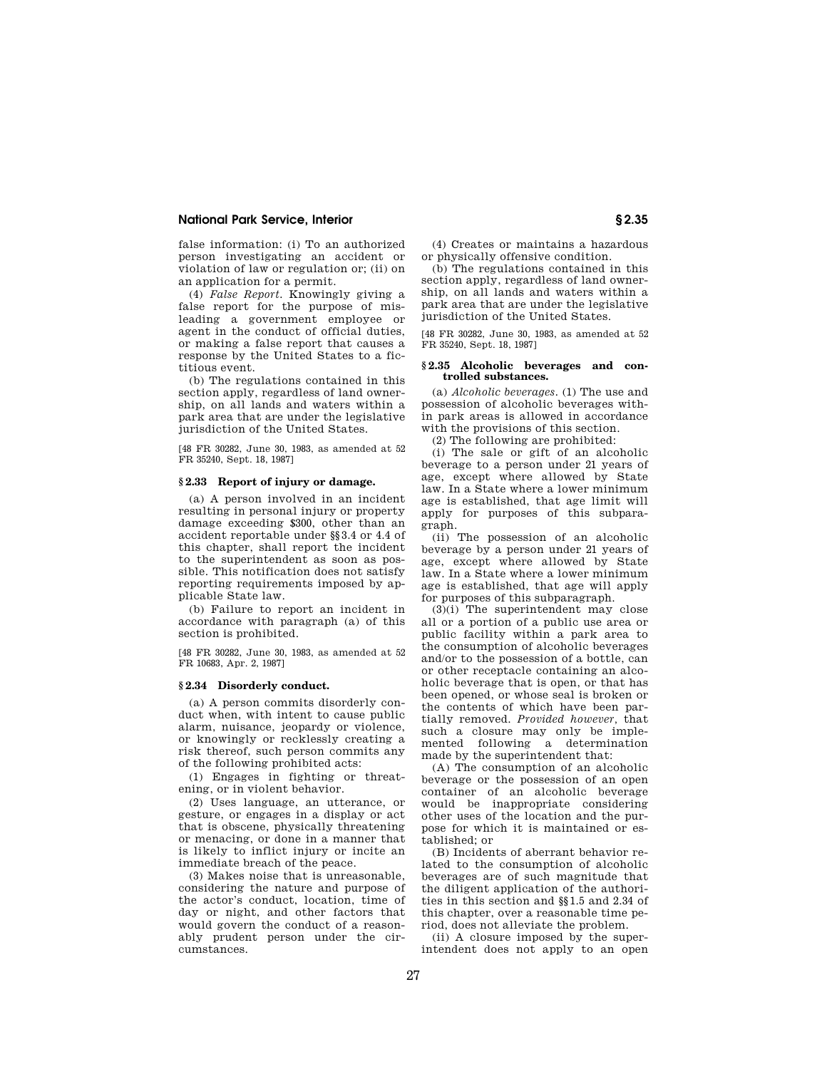false information: (i) To an authorized person investigating an accident or violation of law or regulation or; (ii) on an application for a permit.

(4) *False Report.* Knowingly giving a false report for the purpose of misleading a government employee or agent in the conduct of official duties, or making a false report that causes a response by the United States to a fictitious event.

(b) The regulations contained in this section apply, regardless of land ownership, on all lands and waters within a park area that are under the legislative jurisdiction of the United States.

[48 FR 30282, June 30, 1983, as amended at 52 FR 35240, Sept. 18, 1987]

## **§ 2.33 Report of injury or damage.**

(a) A person involved in an incident resulting in personal injury or property damage exceeding \$300, other than an accident reportable under §§3.4 or 4.4 of this chapter, shall report the incident to the superintendent as soon as possible. This notification does not satisfy reporting requirements imposed by applicable State law.

(b) Failure to report an incident in accordance with paragraph (a) of this section is prohibited.

[48 FR 30282, June 30, 1983, as amended at 52 FR 10683, Apr. 2, 1987]

#### **§ 2.34 Disorderly conduct.**

(a) A person commits disorderly conduct when, with intent to cause public alarm, nuisance, jeopardy or violence, or knowingly or recklessly creating a risk thereof, such person commits any of the following prohibited acts:

(1) Engages in fighting or threatening, or in violent behavior.

(2) Uses language, an utterance, or gesture, or engages in a display or act that is obscene, physically threatening or menacing, or done in a manner that is likely to inflict injury or incite an immediate breach of the peace.

(3) Makes noise that is unreasonable, considering the nature and purpose of the actor's conduct, location, time of day or night, and other factors that would govern the conduct of a reasonably prudent person under the circumstances.

(4) Creates or maintains a hazardous or physically offensive condition.

(b) The regulations contained in this section apply, regardless of land ownership, on all lands and waters within a park area that are under the legislative jurisdiction of the United States.

[48 FR 30282, June 30, 1983, as amended at 52 FR 35240, Sept. 18, 1987]

## **§ 2.35 Alcoholic beverages and controlled substances.**

(a) *Alcoholic beverages.* (1) The use and possession of alcoholic beverages within park areas is allowed in accordance with the provisions of this section.

(2) The following are prohibited:

(i) The sale or gift of an alcoholic beverage to a person under 21 years of age, except where allowed by State law. In a State where a lower minimum age is established, that age limit will apply for purposes of this subparagraph.

(ii) The possession of an alcoholic beverage by a person under 21 years of age, except where allowed by State law. In a State where a lower minimum age is established, that age will apply for purposes of this subparagraph.

 $(3)(i)$  The superintendent may close all or a portion of a public use area or public facility within a park area to the consumption of alcoholic beverages and/or to the possession of a bottle, can or other receptacle containing an alcoholic beverage that is open, or that has been opened, or whose seal is broken or the contents of which have been partially removed. *Provided however,* that such a closure may only be implemented following a determination made by the superintendent that:

(A) The consumption of an alcoholic beverage or the possession of an open container of an alcoholic beverage would be inappropriate considering other uses of the location and the purpose for which it is maintained or established; or

(B) Incidents of aberrant behavior related to the consumption of alcoholic beverages are of such magnitude that the diligent application of the authorities in this section and §§1.5 and 2.34 of this chapter, over a reasonable time period, does not alleviate the problem.

(ii) A closure imposed by the superintendent does not apply to an open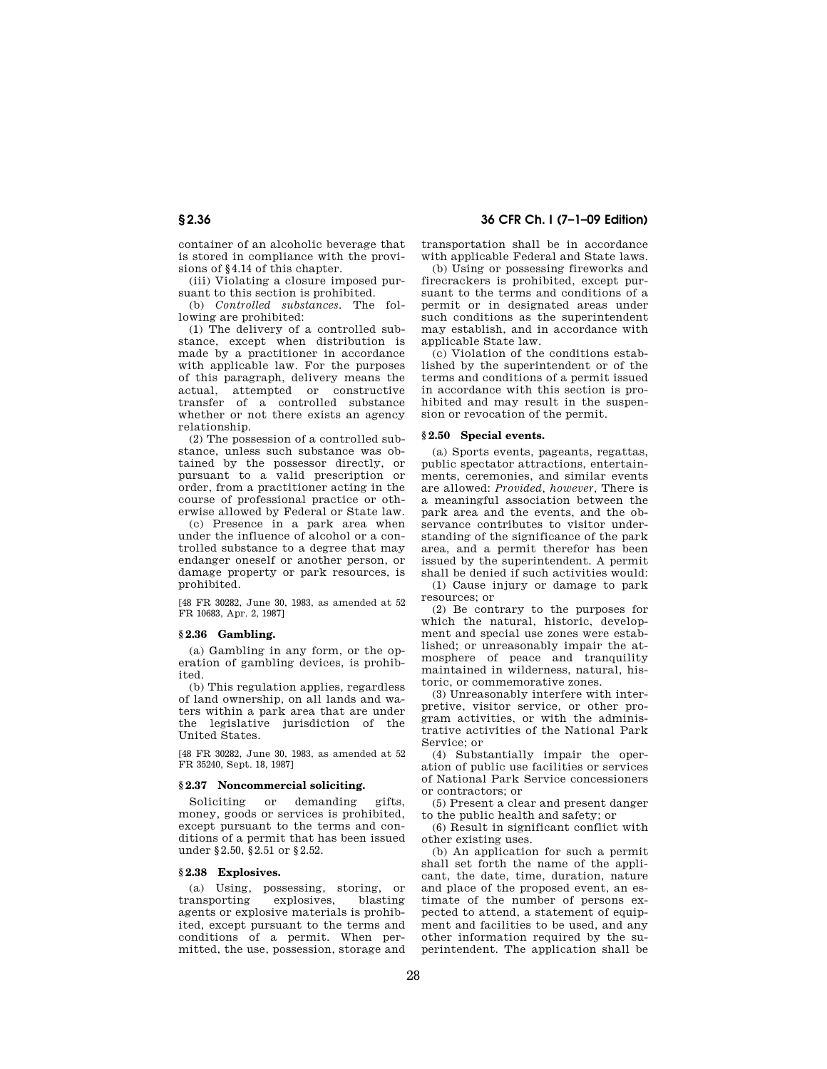container of an alcoholic beverage that is stored in compliance with the provisions of §4.14 of this chapter.

(iii) Violating a closure imposed pursuant to this section is prohibited.

(b) *Controlled substances.* The following are prohibited:

(1) The delivery of a controlled substance, except when distribution is made by a practitioner in accordance with applicable law. For the purposes of this paragraph, delivery means the actual, attempted or constructive transfer of a controlled substance whether or not there exists an agency relationship.

(2) The possession of a controlled substance, unless such substance was obtained by the possessor directly, or pursuant to a valid prescription or order, from a practitioner acting in the course of professional practice or otherwise allowed by Federal or State law.

(c) Presence in a park area when under the influence of alcohol or a controlled substance to a degree that may endanger oneself or another person, or damage property or park resources, is prohibited.

[48 FR 30282, June 30, 1983, as amended at 52 FR 10683, Apr. 2, 1987]

## **§ 2.36 Gambling.**

(a) Gambling in any form, or the operation of gambling devices, is prohibited.

(b) This regulation applies, regardless of land ownership, on all lands and waters within a park area that are under the legislative jurisdiction of the United States.

[48 FR 30282, June 30, 1983, as amended at 52 FR 35240, Sept. 18, 1987]

### **§ 2.37 Noncommercial soliciting.**

Soliciting or demanding gifts, money, goods or services is prohibited, except pursuant to the terms and conditions of a permit that has been issued under §2.50, §2.51 or §2.52.

#### **§ 2.38 Explosives.**

(a) Using, possessing, storing, or transporting explosives, blasting agents or explosive materials is prohibited, except pursuant to the terms and conditions of a permit. When permitted, the use, possession, storage and

**§ 2.36 36 CFR Ch. I (7–1–09 Edition)** 

transportation shall be in accordance with applicable Federal and State laws.

(b) Using or possessing fireworks and firecrackers is prohibited, except pursuant to the terms and conditions of a permit or in designated areas under such conditions as the superintendent may establish, and in accordance with applicable State law.

(c) Violation of the conditions established by the superintendent or of the terms and conditions of a permit issued in accordance with this section is prohibited and may result in the suspension or revocation of the permit.

## **§ 2.50 Special events.**

(a) Sports events, pageants, regattas, public spectator attractions, entertainments, ceremonies, and similar events are allowed: *Provided, however,* There is a meaningful association between the park area and the events, and the observance contributes to visitor understanding of the significance of the park area, and a permit therefor has been issued by the superintendent. A permit shall be denied if such activities would:

(1) Cause injury or damage to park resources; or

(2) Be contrary to the purposes for which the natural, historic, development and special use zones were established; or unreasonably impair the atmosphere of peace and tranquility maintained in wilderness, natural, historic, or commemorative zones.

(3) Unreasonably interfere with interpretive, visitor service, or other program activities, or with the administrative activities of the National Park Service; or

(4) Substantially impair the operation of public use facilities or services of National Park Service concessioners or contractors; or

(5) Present a clear and present danger to the public health and safety; or

(6) Result in significant conflict with other existing uses.

(b) An application for such a permit shall set forth the name of the applicant, the date, time, duration, nature and place of the proposed event, an estimate of the number of persons expected to attend, a statement of equipment and facilities to be used, and any other information required by the superintendent. The application shall be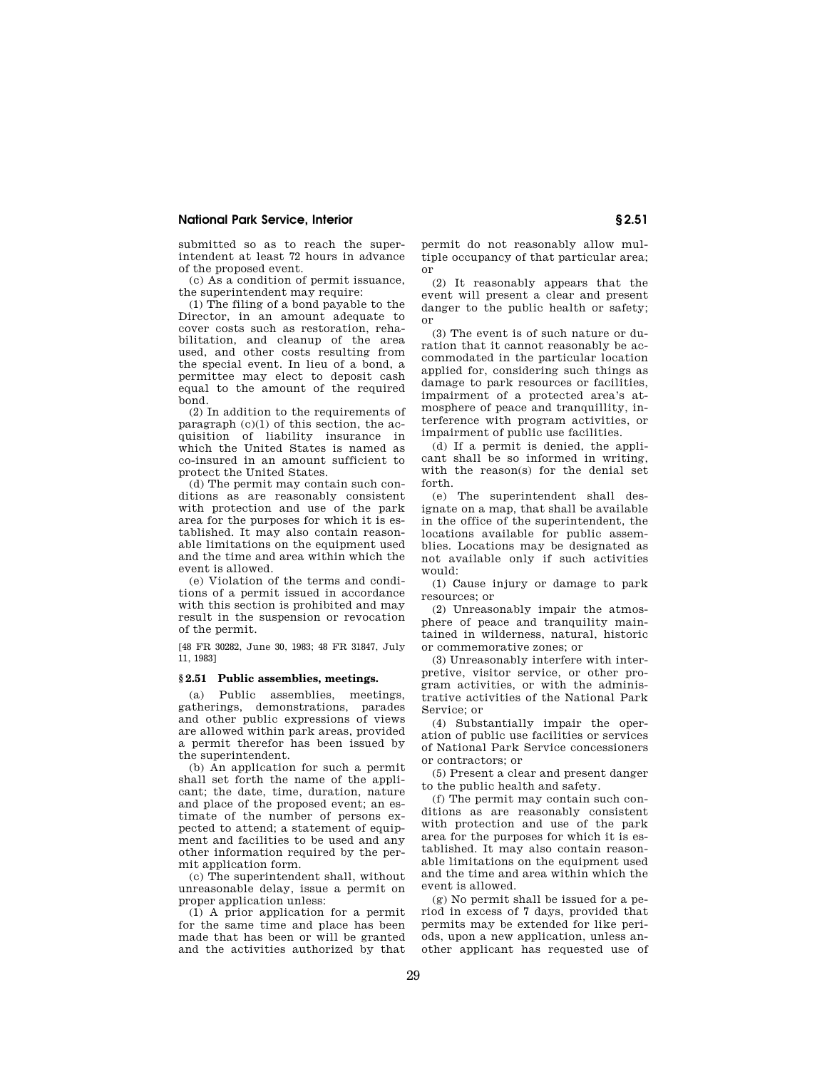submitted so as to reach the superintendent at least 72 hours in advance of the proposed event.

(c) As a condition of permit issuance, the superintendent may require:

(1) The filing of a bond payable to the Director, in an amount adequate to cover costs such as restoration, rehabilitation, and cleanup of the area used, and other costs resulting from the special event. In lieu of a bond, a permittee may elect to deposit cash equal to the amount of the required bond.

(2) In addition to the requirements of paragraph  $(c)(1)$  of this section, the acquisition of liability insurance in which the United States is named as co-insured in an amount sufficient to protect the United States.

(d) The permit may contain such conditions as are reasonably consistent with protection and use of the park area for the purposes for which it is established. It may also contain reasonable limitations on the equipment used and the time and area within which the event is allowed.

(e) Violation of the terms and conditions of a permit issued in accordance with this section is prohibited and may result in the suspension or revocation of the permit.

[48 FR 30282, June 30, 1983; 48 FR 31847, July 11, 1983]

#### **§ 2.51 Public assemblies, meetings.**

(a) Public assemblies, meetings, gatherings, demonstrations, parades and other public expressions of views are allowed within park areas, provided a permit therefor has been issued by the superintendent.

(b) An application for such a permit shall set forth the name of the applicant; the date, time, duration, nature and place of the proposed event; an estimate of the number of persons expected to attend; a statement of equipment and facilities to be used and any other information required by the permit application form.

(c) The superintendent shall, without unreasonable delay, issue a permit on proper application unless:

(1) A prior application for a permit for the same time and place has been made that has been or will be granted and the activities authorized by that permit do not reasonably allow multiple occupancy of that particular area; or

(2) It reasonably appears that the event will present a clear and present danger to the public health or safety; or

(3) The event is of such nature or duration that it cannot reasonably be accommodated in the particular location applied for, considering such things as damage to park resources or facilities, impairment of a protected area's atmosphere of peace and tranquillity, interference with program activities, or impairment of public use facilities.

(d) If a permit is denied, the applicant shall be so informed in writing, with the reason(s) for the denial set forth.

(e) The superintendent shall designate on a map, that shall be available in the office of the superintendent, the locations available for public assemblies. Locations may be designated as not available only if such activities would:

(1) Cause injury or damage to park resources; or

(2) Unreasonably impair the atmosphere of peace and tranquility maintained in wilderness, natural, historic or commemorative zones; or

(3) Unreasonably interfere with interpretive, visitor service, or other program activities, or with the administrative activities of the National Park Service; or

(4) Substantially impair the operation of public use facilities or services of National Park Service concessioners or contractors; or

(5) Present a clear and present danger to the public health and safety.

(f) The permit may contain such conditions as are reasonably consistent with protection and use of the park area for the purposes for which it is established. It may also contain reasonable limitations on the equipment used and the time and area within which the event is allowed.

(g) No permit shall be issued for a period in excess of 7 days, provided that permits may be extended for like periods, upon a new application, unless another applicant has requested use of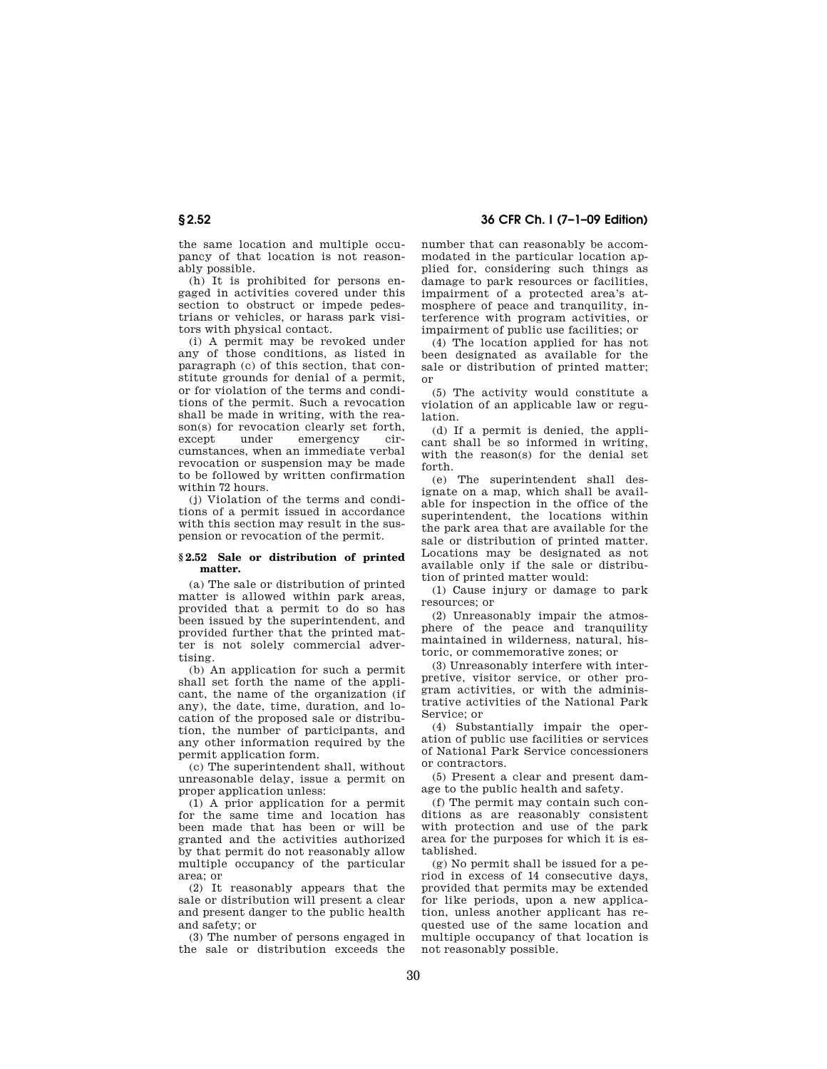the same location and multiple occupancy of that location is not reasonably possible.

(h) It is prohibited for persons engaged in activities covered under this section to obstruct or impede pedestrians or vehicles, or harass park visitors with physical contact.

(i) A permit may be revoked under any of those conditions, as listed in paragraph (c) of this section, that constitute grounds for denial of a permit, or for violation of the terms and conditions of the permit. Such a revocation shall be made in writing, with the reason(s) for revocation clearly set forth,<br>except under emergency ciremergency cumstances, when an immediate verbal revocation or suspension may be made to be followed by written confirmation within 72 hours.

(j) Violation of the terms and conditions of a permit issued in accordance with this section may result in the suspension or revocation of the permit.

#### **§ 2.52 Sale or distribution of printed matter.**

(a) The sale or distribution of printed matter is allowed within park areas, provided that a permit to do so has been issued by the superintendent, and provided further that the printed matter is not solely commercial advertising.

(b) An application for such a permit shall set forth the name of the applicant, the name of the organization (if any), the date, time, duration, and location of the proposed sale or distribution, the number of participants, and any other information required by the permit application form.

(c) The superintendent shall, without unreasonable delay, issue a permit on proper application unless:

(1) A prior application for a permit for the same time and location has been made that has been or will be granted and the activities authorized by that permit do not reasonably allow multiple occupancy of the particular area; or

(2) It reasonably appears that the sale or distribution will present a clear and present danger to the public health and safety; or

(3) The number of persons engaged in the sale or distribution exceeds the

**§ 2.52 36 CFR Ch. I (7–1–09 Edition)** 

number that can reasonably be accommodated in the particular location applied for, considering such things as damage to park resources or facilities, impairment of a protected area's atmosphere of peace and tranquility, interference with program activities, or impairment of public use facilities; or

(4) The location applied for has not been designated as available for the sale or distribution of printed matter; or

(5) The activity would constitute a violation of an applicable law or regulation.

(d) If a permit is denied, the applicant shall be so informed in writing, with the reason(s) for the denial set forth.

(e) The superintendent shall designate on a map, which shall be available for inspection in the office of the superintendent, the locations within the park area that are available for the sale or distribution of printed matter. Locations may be designated as not available only if the sale or distribution of printed matter would:

(1) Cause injury or damage to park resources; or

(2) Unreasonably impair the atmosphere of the peace and tranquility maintained in wilderness, natural, historic, or commemorative zones; or

(3) Unreasonably interfere with interpretive, visitor service, or other program activities, or with the administrative activities of the National Park Service; or

(4) Substantially impair the operation of public use facilities or services of National Park Service concessioners or contractors.

(5) Present a clear and present damage to the public health and safety.

(f) The permit may contain such conditions as are reasonably consistent with protection and use of the park area for the purposes for which it is established.

(g) No permit shall be issued for a period in excess of 14 consecutive days, provided that permits may be extended for like periods, upon a new application, unless another applicant has requested use of the same location and multiple occupancy of that location is not reasonably possible.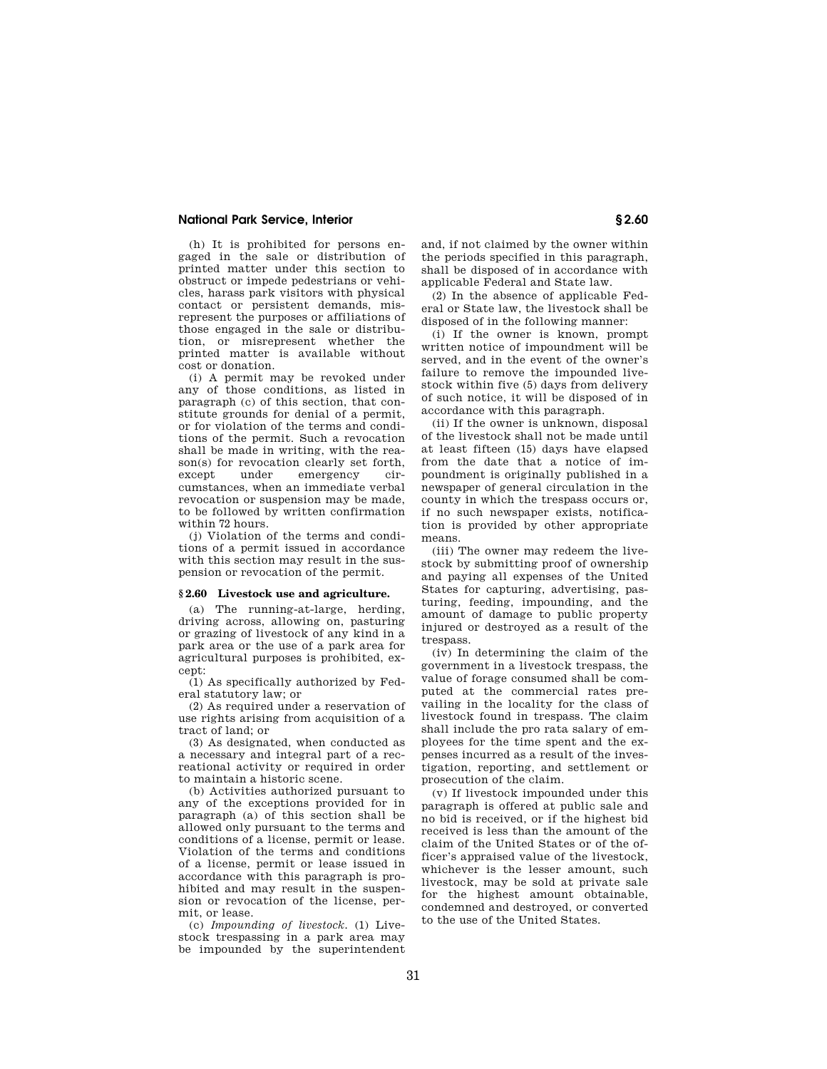(h) It is prohibited for persons engaged in the sale or distribution of printed matter under this section to obstruct or impede pedestrians or vehicles, harass park visitors with physical contact or persistent demands, misrepresent the purposes or affiliations of those engaged in the sale or distribution, or misrepresent whether the printed matter is available without cost or donation.

(i) A permit may be revoked under any of those conditions, as listed in paragraph (c) of this section, that constitute grounds for denial of a permit, or for violation of the terms and conditions of the permit. Such a revocation shall be made in writing, with the reason(s) for revocation clearly set forth, except under emergency circumstances, when an immediate verbal revocation or suspension may be made, to be followed by written confirmation within 72 hours.

(j) Violation of the terms and conditions of a permit issued in accordance with this section may result in the suspension or revocation of the permit.

### **§ 2.60 Livestock use and agriculture.**

(a) The running-at-large, herding, driving across, allowing on, pasturing or grazing of livestock of any kind in a park area or the use of a park area for agricultural purposes is prohibited, except:

(1) As specifically authorized by Federal statutory law; or

(2) As required under a reservation of use rights arising from acquisition of a tract of land; or

(3) As designated, when conducted as a necessary and integral part of a recreational activity or required in order to maintain a historic scene.

(b) Activities authorized pursuant to any of the exceptions provided for in paragraph (a) of this section shall be allowed only pursuant to the terms and conditions of a license, permit or lease. Violation of the terms and conditions of a license, permit or lease issued in accordance with this paragraph is prohibited and may result in the suspension or revocation of the license, permit, or lease.

(c) *Impounding of livestock.* (1) Livestock trespassing in a park area may be impounded by the superintendent

and, if not claimed by the owner within the periods specified in this paragraph, shall be disposed of in accordance with applicable Federal and State law.

(2) In the absence of applicable Federal or State law, the livestock shall be disposed of in the following manner:

(i) If the owner is known, prompt written notice of impoundment will be served, and in the event of the owner's failure to remove the impounded livestock within five (5) days from delivery of such notice, it will be disposed of in accordance with this paragraph.

(ii) If the owner is unknown, disposal of the livestock shall not be made until at least fifteen (15) days have elapsed from the date that a notice of impoundment is originally published in a newspaper of general circulation in the county in which the trespass occurs or, if no such newspaper exists, notification is provided by other appropriate means.

(iii) The owner may redeem the livestock by submitting proof of ownership and paying all expenses of the United States for capturing, advertising, pasturing, feeding, impounding, and the amount of damage to public property injured or destroyed as a result of the trespass.

(iv) In determining the claim of the government in a livestock trespass, the value of forage consumed shall be computed at the commercial rates prevailing in the locality for the class of livestock found in trespass. The claim shall include the pro rata salary of employees for the time spent and the expenses incurred as a result of the investigation, reporting, and settlement or prosecution of the claim.

(v) If livestock impounded under this paragraph is offered at public sale and no bid is received, or if the highest bid received is less than the amount of the claim of the United States or of the officer's appraised value of the livestock, whichever is the lesser amount, such livestock, may be sold at private sale for the highest amount obtainable, condemned and destroyed, or converted to the use of the United States.